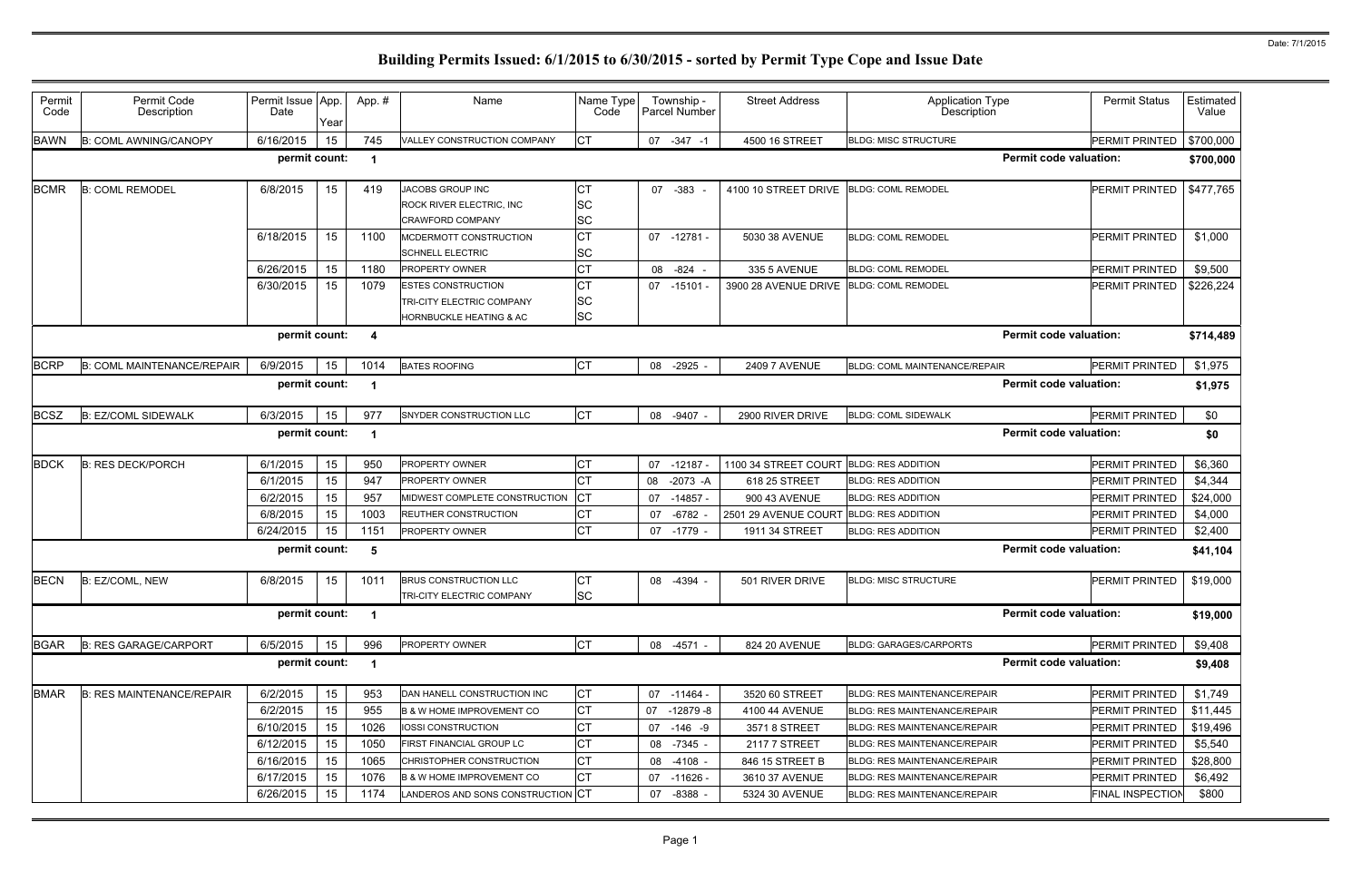| Permit<br>Code | Permit Code<br>Description        | Permit Issue App.<br>Date | Year | App.#                | Name                                                                              | Name Type<br>Code     |    | Township -<br>Parcel Number | <b>Street Address</b> | <b>Application Type</b><br>Description | <b>Permit Status</b>          | Estimated<br>Value |
|----------------|-----------------------------------|---------------------------|------|----------------------|-----------------------------------------------------------------------------------|-----------------------|----|-----------------------------|-----------------------|----------------------------------------|-------------------------------|--------------------|
| <b>BAWN</b>    | <b>B: COML AWNING/CANOPY</b>      | 6/16/2015                 | 15   | 745                  | VALLEY CONSTRUCTION COMPANY                                                       | <b>CT</b>             | 07 | $-347 - 1$                  | 4500 16 STREET        | <b>BLDG: MISC STRUCTURE</b>            | <b>PERMIT PRINTED</b>         | \$700,000          |
|                |                                   | permit count:             |      | $\blacktriangleleft$ |                                                                                   |                       |    |                             |                       |                                        | <b>Permit code valuation:</b> | \$700,000          |
| <b>BCMR</b>    | <b>B: COML REMODEL</b>            | 6/8/2015                  | 15   | 419                  | JACOBS GROUP INC<br><b>ROCK RIVER ELECTRIC, INC</b><br><b>CRAWFORD COMPANY</b>    | CТ<br>SC<br>SC        |    | 07 - 383 -                  | 4100 10 STREET DRIVE  | <b>BLDG: COML REMODEL</b>              | PERMIT PRINTED                | \$477,765          |
|                |                                   | 6/18/2015                 | 15   | 1100                 | MCDERMOTT CONSTRUCTION<br><b>SCHNELL ELECTRIC</b>                                 | <b>CT</b><br>SC       |    | $07 - 12781 -$              | 5030 38 AVENUE        | <b>BLDG: COML REMODEL</b>              | <b>PERMIT PRINTED</b>         | \$1,000            |
|                |                                   | 6/26/2015                 | 15   | 1180                 | <b>PROPERTY OWNER</b>                                                             | СT                    | 08 | -824                        | 335 5 AVENUE          | <b>BLDG: COML REMODEL</b>              | PERMIT PRINTED                | \$9,500            |
|                |                                   | 6/30/2015                 | 15   | 1079                 | <b>ESTES CONSTRUCTION</b><br>TRI-CITY ELECTRIC COMPANY<br>HORNBUCKLE HEATING & AC | СT<br>SC<br><b>SC</b> |    | 07 -15101 -                 | 3900 28 AVENUE DRIVE  | <b>BLDG: COML REMODEL</b>              | PERMIT PRINTED                | \$226,224          |
|                |                                   | permit count:             |      | 4                    |                                                                                   |                       |    |                             |                       |                                        | <b>Permit code valuation:</b> | \$714,489          |
| <b>BCRP</b>    | <b>B: COML MAINTENANCE/REPAIR</b> | 6/9/2015                  | 15   | 1014                 | <b>BATES ROOFING</b>                                                              | <b>CT</b>             | 08 | $-2925$                     | <b>2409 7 AVENUE</b>  | BLDG: COML MAINTENANCE/REPAIR          | <b>PERMIT PRINTED</b>         | \$1,975            |
|                |                                   | permit count:             |      | -1                   |                                                                                   |                       |    |                             |                       |                                        | <b>Permit code valuation:</b> | \$1,975            |
| <b>BCSZ</b>    | <b>B: EZ/COML SIDEWALK</b>        | 6/3/2015                  | 15   | 977                  | SNYDER CONSTRUCTION LLC                                                           | <b>CT</b>             |    | 08 -9407 -                  | 2900 RIVER DRIVE      | <b>BLDG: COML SIDEWALK</b>             | PERMIT PRINTED                | \$0                |
|                |                                   | permit count:             |      | -1                   |                                                                                   |                       |    |                             |                       |                                        | <b>Permit code valuation:</b> | \$0                |
| <b>BDCK</b>    | <b>B: RES DECK/PORCH</b>          | 6/1/2015                  | 15   | 950                  | <b>PROPERTY OWNER</b>                                                             | <b>CT</b>             | 07 | $-12187 -$                  | 1100 34 STREET COURT  | <b>BLDG: RES ADDITION</b>              | PERMIT PRINTED                | \$6,360            |
|                |                                   | 6/1/2015                  | 15   | 947                  | <b>PROPERTY OWNER</b>                                                             | СT                    | 08 | $-2073 - A$                 | 618 25 STREET         | <b>BLDG: RES ADDITION</b>              | PERMIT PRINTED                | \$4,344            |
|                |                                   | 6/2/2015                  | 15   | 957                  | MIDWEST COMPLETE CONSTRUCTION                                                     | <b>CT</b>             | 07 | $-14857 -$                  | 900 43 AVENUE         | <b>BLDG: RES ADDITION</b>              | PERMIT PRINTED                | \$24,000           |
|                |                                   | 6/8/2015                  | 15   | 1003                 | REUTHER CONSTRUCTION                                                              | СT                    | 07 | $-6782 -$                   | 2501 29 AVENUE COURT  | <b>BLDG: RES ADDITION</b>              | <b>PERMIT PRINTED</b>         | \$4,000            |
|                |                                   | 6/24/2015                 | 15   | 1151                 | PROPERTY OWNER                                                                    | СT                    |    | 07 -1779 -                  | 1911 34 STREET        | <b>BLDG: RES ADDITION</b>              | PERMIT PRINTED                | \$2,400            |
|                |                                   | permit count:             |      | 5                    |                                                                                   |                       |    |                             |                       |                                        | <b>Permit code valuation:</b> | \$41,104           |
| <b>BECN</b>    | B: EZ/COML, NEW                   | 6/8/2015                  | 15   | 1011                 | <b>BRUS CONSTRUCTION LLC</b><br>TRI-CITY ELECTRIC COMPANY                         | СT<br><b>SC</b>       | 08 | -4394 -                     | 501 RIVER DRIVE       | <b>BLDG: MISC STRUCTURE</b>            | PERMIT PRINTED                | \$19,000           |
|                |                                   | permit count:             |      | $\mathbf 1$          |                                                                                   |                       |    |                             |                       |                                        | <b>Permit code valuation:</b> | \$19,000           |
| <b>BGAR</b>    | <b>B: RES GARAGE/CARPORT</b>      | 6/5/2015                  | 15   | 996                  | PROPERTY OWNER                                                                    | <b>CT</b>             |    | 08 -4571 -                  | 824 20 AVENUE         | <b>BLDG: GARAGES/CARPORTS</b>          | <b>PERMIT PRINTED</b>         | \$9,408            |
|                |                                   | permit count:             |      | -1                   |                                                                                   |                       |    |                             |                       |                                        | <b>Permit code valuation:</b> | \$9,408            |
| <b>BMAR</b>    | <b>B: RES MAINTENANCE/REPAIR</b>  | 6/2/2015                  | 15   | 953                  | DAN HANELL CONSTRUCTION INC                                                       | СT                    | 07 | $-11464 -$                  | 3520 60 STREET        | <b>BLDG: RES MAINTENANCE/REPAIR</b>    | PERMIT PRINTED                | \$1,749            |
|                |                                   | 6/2/2015                  | 15   | 955                  | <b>B &amp; W HOME IMPROVEMENT CO</b>                                              | <b>CT</b>             | 07 | -12879 -8                   | 4100 44 AVENUE        | BLDG: RES MAINTENANCE/REPAIR           | PERMIT PRINTED                | \$11,445           |
|                |                                   | 6/10/2015                 | 15   | 1026                 | IOSSI CONSTRUCTION                                                                | СT                    | 07 | -146 -9                     | 3571 8 STREET         | BLDG: RES MAINTENANCE/REPAIR           | PERMIT PRINTED                | \$19,496           |
|                |                                   | 6/12/2015                 | 15   | 1050                 | FIRST FINANCIAL GROUP LC                                                          | СT                    |    | 08 -7345 -                  | 2117 7 STREET         | BLDG: RES MAINTENANCE/REPAIR           | PERMIT PRINTED                | \$5,540            |
|                |                                   | 6/16/2015                 | 15   | 1065                 | CHRISTOPHER CONSTRUCTION                                                          | СT                    | 08 | $-4108 -$                   | 846 15 STREET B       | BLDG: RES MAINTENANCE/REPAIR           | PERMIT PRINTED                | \$28,800           |
|                |                                   | 6/17/2015                 | 15   | 1076                 | <b>B &amp; W HOME IMPROVEMENT CO</b>                                              | СT                    | 07 | -11626 -                    | 3610 37 AVENUE        | BLDG: RES MAINTENANCE/REPAIR           | PERMIT PRINTED                | \$6,492            |
|                |                                   | 6/26/2015                 | 15   | 1174                 | LANDEROS AND SONS CONSTRUCTION CT                                                 |                       | 07 | $-8388 -$                   | 5324 30 AVENUE        | BLDG: RES MAINTENANCE/REPAIR           | <b>FINAL INSPECTION</b>       | \$800              |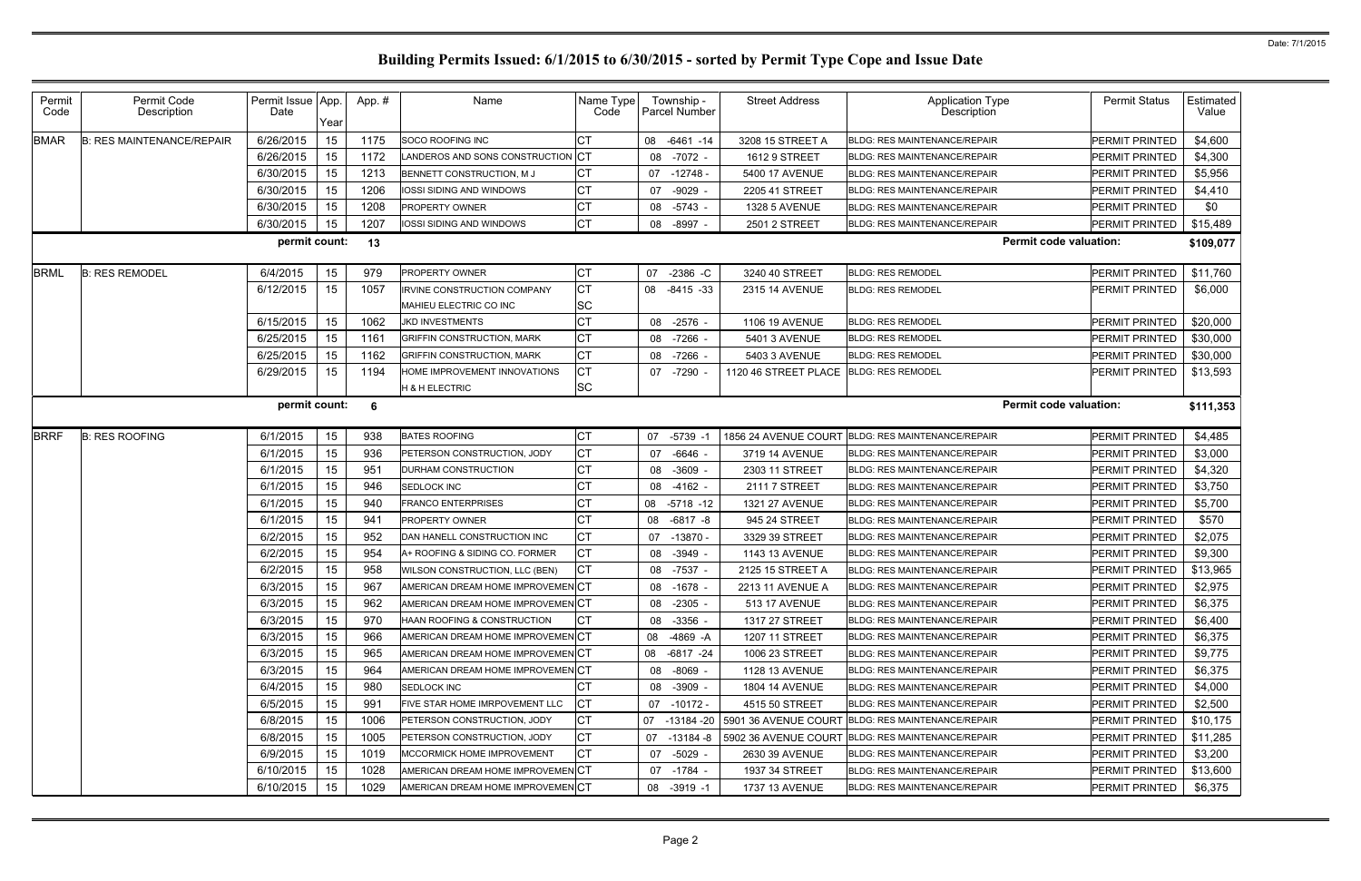| Permit<br>Code | Permit Code<br>Description       | Permit Issue App.<br>Date | Year | App.# | Name                                             | Name Type<br>Code      | Township -<br>Parcel Number | <b>Street Address</b>                  | <b>Application Type</b><br><b>Description</b>     | <b>Permit Status</b>             | Estimated<br>Value |
|----------------|----------------------------------|---------------------------|------|-------|--------------------------------------------------|------------------------|-----------------------------|----------------------------------------|---------------------------------------------------|----------------------------------|--------------------|
| <b>BMAR</b>    | <b>B: RES MAINTENANCE/REPAIR</b> | 6/26/2015                 | 15   | 1175  | SOCO ROOFING INC                                 | СT                     | $-6461 - 14$<br>08          | 3208 15 STREET A                       | <b>BLDG: RES MAINTENANCE/REPAIR</b>               | <b>PERMIT PRINTED</b>            | \$4,600            |
|                |                                  | 6/26/2015                 | 15   | 1172  | LANDEROS AND SONS CONSTRUCTION                   | <b>CT</b>              | $-7072 -$<br>08             | 1612 9 STREET                          | <b>BLDG: RES MAINTENANCE/REPAIR</b>               | <b>PERMIT PRINTED</b>            | \$4,300            |
|                |                                  | 6/30/2015                 | 15   | 1213  | BENNETT CONSTRUCTION, M J                        | СT                     | 07 -12748 -                 | 5400 17 AVENUE                         | <b>BLDG: RES MAINTENANCE/REPAIR</b>               | PERMIT PRINTED                   | \$5,956            |
|                |                                  | 6/30/2015                 | 15   | 1206  | IOSSI SIDING AND WINDOWS                         | СT                     | $-9029$<br>07               | 2205 41 STREET                         | <b>BLDG: RES MAINTENANCE/REPAIR</b>               | PERMIT PRINTED                   | \$4,410            |
|                |                                  | 6/30/2015                 | 15   | 1208  | <b>PROPERTY OWNER</b>                            | СT                     | $-5743 -$<br>08             | <b>1328 5 AVENUE</b>                   | <b>BLDG: RES MAINTENANCE/REPAIR</b>               | <b>PERMIT PRINTED</b>            | \$0                |
|                |                                  | 6/30/2015                 | 15   | 1207  | IOSSI SIDING AND WINDOWS                         | СT                     | $-8997 -$<br>08             | 2501 2 STREET                          | BLDG: RES MAINTENANCE/REPAIR                      | PERMIT PRINTED                   | \$15,489           |
|                |                                  | permit count:             |      | 13    |                                                  |                        |                             |                                        | <b>Permit code valuation:</b>                     |                                  | \$109,077          |
| <b>BRML</b>    | <b>B: RES REMODEL</b>            | 6/4/2015                  | 15   | 979   | <b>PROPERTY OWNER</b>                            | СT                     | 07<br>$-2386$ -C            | 3240 40 STREET                         | <b>BLDG: RES REMODEL</b>                          | PERMIT PRINTED                   | \$11,760           |
|                |                                  | 6/12/2015                 | 15   | 1057  | <b>IRVINE CONSTRUCTION COMPANY</b>               | <b>CT</b><br><b>SC</b> | 08<br>$-8415 - 33$          | 2315 14 AVENUE                         | <b>BLDG: RES REMODEL</b>                          | <b>PERMIT PRINTED</b>            | \$6,000            |
|                |                                  | 6/15/2015                 | 15   | 1062  | MAHIEU ELECTRIC CO INC<br><b>JKD INVESTMENTS</b> | СT                     | $-2576$ -                   | 1106 19 AVENUE                         | <b>BLDG: RES REMODEL</b>                          |                                  | \$20,000           |
|                |                                  | 6/25/2015                 | 15   | 1161  | <b>GRIFFIN CONSTRUCTION, MARK</b>                | СT                     | 08<br>$-7266$               | 5401 3 AVENUE                          | <b>BLDG: RES REMODEL</b>                          | PERMIT PRINTED<br>PERMIT PRINTED | \$30,000           |
|                |                                  | 6/25/2015                 | 15   | 1162  | <b>GRIFFIN CONSTRUCTION, MARK</b>                | <b>CT</b>              | 08<br>08<br>-7266 -         | 5403 3 AVENUE                          | <b>BLDG: RES REMODEL</b>                          | PERMIT PRINTED                   | \$30,000           |
|                |                                  | 6/29/2015                 | 15   | 1194  | HOME IMPROVEMENT INNOVATIONS                     | СT                     | 07<br>-7290 -               | 1120 46 STREET PLACE BLDG: RES REMODEL |                                                   | <b>PERMIT PRINTED</b>            | \$13,593           |
|                |                                  |                           |      |       | <b>H &amp; H ELECTRIC</b>                        | <b>SC</b>              |                             |                                        |                                                   |                                  |                    |
|                |                                  | permit count:             |      | 6     |                                                  |                        |                             |                                        | <b>Permit code valuation:</b>                     |                                  | \$111,353          |
|                |                                  |                           |      |       |                                                  |                        |                             |                                        |                                                   |                                  |                    |
| <b>BRRF</b>    | <b>B: RES ROOFING</b>            | 6/1/2015                  | 15   | 938   | <b>BATES ROOFING</b>                             | <b>CT</b>              | 07<br>$-5739 - 7$           | 1856 24 AVENUE COURT                   | <b>BLDG: RES MAINTENANCE/REPAIR</b>               | PERMIT PRINTED                   | \$4,485            |
|                |                                  | 6/1/2015                  | 15   | 936   | PETERSON CONSTRUCTION, JODY                      | <b>CT</b>              | $-6646$ -<br>07             | 3719 14 AVENUE                         | <b>BLDG: RES MAINTENANCE/REPAIR</b>               | PERMIT PRINTED                   | \$3,000            |
|                |                                  | 6/1/2015                  | 15   | 951   | DURHAM CONSTRUCTION                              | <b>CT</b>              | $-3609$<br>08               | 2303 11 STREET                         | <b>BLDG: RES MAINTENANCE/REPAIR</b>               | PERMIT PRINTED                   | \$4,320            |
|                |                                  | 6/1/2015                  | 15   | 946   | <b>SEDLOCK INC</b>                               | <b>CT</b>              | $-4162 -$<br>08             | 2111 7 STREET                          | <b>BLDG: RES MAINTENANCE/REPAIR</b>               | PERMIT PRINTED                   | \$3,750            |
|                |                                  | 6/1/2015                  | 15   | 940   | <b>FRANCO ENTERPRISES</b>                        | СT                     | $-5718 - 12$<br>08          | 1321 27 AVENUE                         | <b>BLDG: RES MAINTENANCE/REPAIR</b>               | PERMIT PRINTED                   | \$5,700            |
|                |                                  | 6/1/2015                  | 15   | 941   | <b>PROPERTY OWNER</b>                            | <b>CT</b>              | $-6817 - 8$<br>08           | 945 24 STREET                          | <b>BLDG: RES MAINTENANCE/REPAIR</b>               | PERMIT PRINTED                   | \$570              |
|                |                                  | 6/2/2015                  | 15   | 952   | DAN HANELL CONSTRUCTION INC                      | <b>CT</b>              | $-13870 -$<br>07            | 3329 39 STREET                         | <b>BLDG: RES MAINTENANCE/REPAIR</b>               | PERMIT PRINTED                   | \$2,075            |
|                |                                  | 6/2/2015                  | 15   | 954   | A+ ROOFING & SIDING CO. FORMER                   | <b>CT</b>              | $-3949 -$<br>08             | 1143 13 AVENUE                         | <b>BLDG: RES MAINTENANCE/REPAIR</b>               | PERMIT PRINTED                   | \$9,300            |
|                |                                  | 6/2/2015                  | 15   | 958   | WILSON CONSTRUCTION, LLC (BEN)                   | <b>CT</b>              | 08<br>-7537 -               | 2125 15 STREET A                       | <b>BLDG: RES MAINTENANCE/REPAIR</b>               | PERMIT PRINTED                   | \$13,965           |
|                |                                  | 6/3/2015                  | 15   | 967   | AMERICAN DREAM HOME IMPROVEMENCT                 |                        | 08 -1678 -                  | 2213 11 AVENUE A                       | BLDG: RES MAINTENANCE/REPAIR                      | PERMIT PRINTED                   | \$2,975            |
|                |                                  | 6/3/2015                  | 15   | 962   | AMERICAN DREAM HOME IMPROVEMENCT                 |                        | 08<br>$-2305 -$             | 513 17 AVENUE                          | <b>BLDG: RES MAINTENANCE/REPAIR</b>               | <b>PERMIT PRINTED</b>            | \$6,375            |
|                |                                  | 6/3/2015                  | 15   | 970   | HAAN ROOFING & CONSTRUCTION                      | СT                     | -3356 -<br>08               | 1317 27 STREET                         | <b>BLDG: RES MAINTENANCE/REPAIR</b>               | PERMIT PRINTED                   | \$6,400            |
|                |                                  | 6/3/2015                  | 15   | 966   | AMERICAN DREAM HOME IMPROVEMENCT                 |                        | -4869 - A<br>08             | 1207 11 STREET                         | <b>BLDG: RES MAINTENANCE/REPAIR</b>               | PERMIT PRINTED                   | \$6,375            |
|                |                                  | 6/3/2015                  | 15   | 965   | AMERICAN DREAM HOME IMPROVEMENCT                 |                        | 08 -6817 -24                | 1006 23 STREET                         | <b>BLDG: RES MAINTENANCE/REPAIR</b>               | PERMIT PRINTED                   | \$9,775            |
|                |                                  | 6/3/2015                  | 15   | 964   | AMERICAN DREAM HOME IMPROVEMENCT                 |                        | $-8069 -$<br>08             | 1128 13 AVENUE                         | <b>BLDG: RES MAINTENANCE/REPAIR</b>               | <b>PERMIT PRINTED</b>            | \$6,375            |
|                |                                  | 6/4/2015                  | 15   | 980   | SEDLOCK INC                                      |                        | $-3909 -$<br>08             | <b>1804 14 AVENUE</b>                  | <b>BLDG: RES MAINTENANCE/REPAIR</b>               | PERMIT PRINTED                   | \$4,000            |
|                |                                  | 6/5/2015                  | 15   | 991   | FIVE STAR HOME IMRPOVEMENT LLC                   | СT                     | $-10172 -$<br>07            | 4515 50 STREET                         | <b>BLDG: RES MAINTENANCE/REPAIR</b>               | PERMIT PRINTED                   | \$2,500            |
|                |                                  | 6/8/2015                  | 15   | 1006  | PETERSON CONSTRUCTION, JODY                      | СT                     | -13184 -20<br>07 -          |                                        | 5901 36 AVENUE COURT BLDG: RES MAINTENANCE/REPAIR | PERMIT PRINTED                   | \$10,175           |
|                |                                  | 6/8/2015                  | 15   | 1005  | PETERSON CONSTRUCTION, JODY                      | <b>CT</b>              | -13184 -8<br>07             | 5902 36 AVENUE COURT                   | <b>BLDG: RES MAINTENANCE/REPAIR</b>               | PERMIT PRINTED                   | \$11,285           |
|                |                                  | 6/9/2015                  | 15   | 1019  | MCCORMICK HOME IMPROVEMENT                       | СT                     | -5029 -<br>07               | 2630 39 AVENUE                         | <b>BLDG: RES MAINTENANCE/REPAIR</b>               | PERMIT PRINTED                   | \$3,200            |
|                |                                  | 6/10/2015                 | 15   | 1028  | AMERICAN DREAM HOME IMPROVEMENCT                 |                        | -1784 -<br>07               | 1937 34 STREET                         | <b>BLDG: RES MAINTENANCE/REPAIR</b>               | PERMIT PRINTED                   | \$13,600           |
|                |                                  | 6/10/2015                 | 15   | 1029  | AMERICAN DREAM HOME IMPROVEMENCT                 |                        | 08 -3919 -1                 | 1737 13 AVENUE                         | <b>BLDG: RES MAINTENANCE/REPAIR</b>               | PERMIT PRINTED                   | \$6,375            |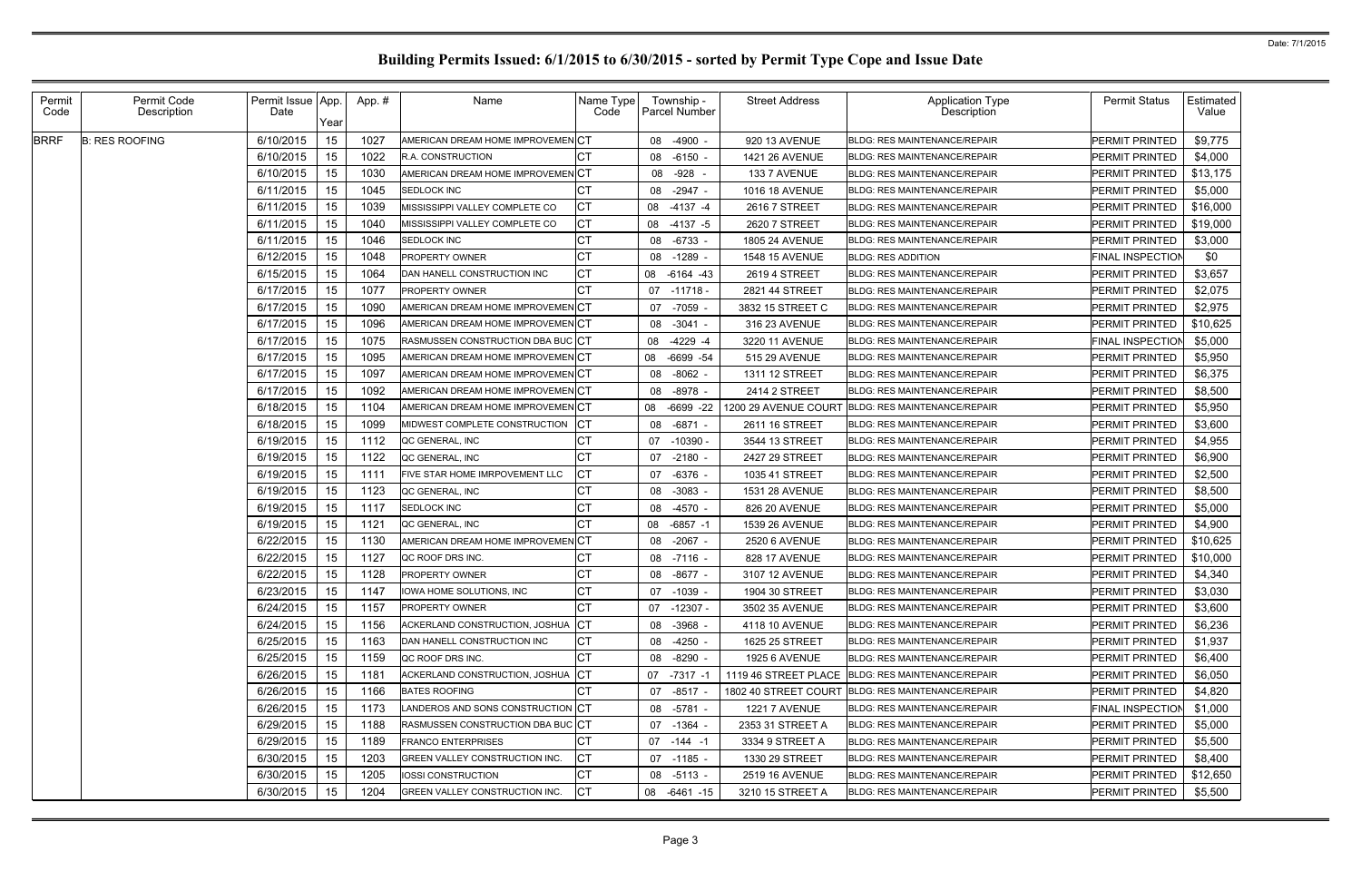| Permit<br>Code | Permit Code<br>Description | Permit Issue App.<br>Date | Year | App.# | Name                              | Name Type<br>Code | Township -<br><b>Parcel Number</b> | <b>Street Address</b> | <b>Application Type</b><br>Description            | <b>Permit Status</b>    | Estimated<br>Value |
|----------------|----------------------------|---------------------------|------|-------|-----------------------------------|-------------------|------------------------------------|-----------------------|---------------------------------------------------|-------------------------|--------------------|
| <b>BRRF</b>    | <b>B: RES ROOFING</b>      | 6/10/2015                 | 15   | 1027  | AMERICAN DREAM HOME IMPROVEMENCT  |                   | $-4900 -$<br>08                    | 920 13 AVENUE         | <b>BLDG: RES MAINTENANCE/REPAIR</b>               | PERMIT PRINTED          | \$9,775            |
|                |                            | 6/10/2015                 | 15   | 1022  | <b>R.A. CONSTRUCTION</b>          | СT                | $-6150 -$<br>08                    | 1421 26 AVENUE        | <b>BLDG: RES MAINTENANCE/REPAIR</b>               | PERMIT PRINTED          | \$4,000            |
|                |                            | 6/10/2015                 | 15   | 1030  | AMERICAN DREAM HOME IMPROVEMEN CT |                   | -928<br>08                         | 133 7 AVENUE          | <b>BLDG: RES MAINTENANCE/REPAIR</b>               | PERMIT PRINTED          | \$13,175           |
|                |                            | 6/11/2015                 | 15   | 1045  | <b>SEDLOCK INC</b>                | СT                | $-2947 -$<br>08                    | 1016 18 AVENUE        | <b>BLDG: RES MAINTENANCE/REPAIR</b>               | PERMIT PRINTED          | \$5,000            |
|                |                            | 6/11/2015                 | 15   | 1039  | MISSISSIPPI VALLEY COMPLETE CO    | <b>CT</b>         | $-4137 - 4$<br>08                  | 2616 7 STREET         | <b>BLDG: RES MAINTENANCE/REPAIR</b>               | PERMIT PRINTED          | \$16,000           |
|                |                            | 6/11/2015                 | 15   | 1040  | MISSISSIPPI VALLEY COMPLETE CO    | СT                | 08<br>$-4137 - 5$                  | 2620 7 STREET         | <b>BLDG: RES MAINTENANCE/REPAIR</b>               | PERMIT PRINTED          | \$19,000           |
|                |                            | 6/11/2015                 | 15   | 1046  | <b>SEDLOCK INC</b>                | СT                | $-6733$ -<br>08                    | 1805 24 AVENUE        | <b>BLDG: RES MAINTENANCE/REPAIR</b>               | PERMIT PRINTED          | \$3,000            |
|                |                            | 6/12/2015                 | 15   | 1048  | PROPERTY OWNER                    | <b>CT</b>         | $-1289 -$<br>08                    | 1548 15 AVENUE        | <b>BLDG: RES ADDITION</b>                         | <b>FINAL INSPECTION</b> | \$0                |
|                |                            | 6/15/2015                 | 15   | 1064  | DAN HANELL CONSTRUCTION INC       | СT                | $-6164 - 43$<br>08                 | 2619 4 STREET         | <b>BLDG: RES MAINTENANCE/REPAIR</b>               | PERMIT PRINTED          | \$3,657            |
|                |                            | 6/17/2015                 | 15   | 1077  | PROPERTY OWNER                    | СT                | $-11718 -$<br>07                   | 2821 44 STREET        | <b>BLDG: RES MAINTENANCE/REPAIR</b>               | PERMIT PRINTED          | \$2,075            |
|                |                            | 6/17/2015                 | 15   | 1090  | AMERICAN DREAM HOME IMPROVEMEN CT |                   | -7059 -<br>07                      | 3832 15 STREET C      | <b>BLDG: RES MAINTENANCE/REPAIR</b>               | PERMIT PRINTED          | \$2,975            |
|                |                            | 6/17/2015                 | 15   | 1096  | AMERICAN DREAM HOME IMPROVEMEN CT |                   | $-3041 -$<br>08                    | 316 23 AVENUE         | <b>BLDG: RES MAINTENANCE/REPAIR</b>               | PERMIT PRINTED          | \$10,625           |
|                |                            | 6/17/2015                 | 15   | 1075  | RASMUSSEN CONSTRUCTION DBA BUC CT |                   | $-4229 - 4$<br>08                  | 3220 11 AVENUE        | <b>BLDG: RES MAINTENANCE/REPAIR</b>               | FINAL INSPECTION        | \$5,000            |
|                |                            | 6/17/2015                 | 15   | 1095  | AMERICAN DREAM HOME IMPROVEMEN CT |                   | $-6699 - 54$<br>08                 | 515 29 AVENUE         | <b>BLDG: RES MAINTENANCE/REPAIR</b>               | PERMIT PRINTED          | \$5,950            |
|                |                            | 6/17/2015                 | 15   | 1097  | AMERICAN DREAM HOME IMPROVEMEN CT |                   | $-8062 -$<br>08                    | 1311 12 STREET        | <b>BLDG: RES MAINTENANCE/REPAIR</b>               | PERMIT PRINTED          | \$6,375            |
|                |                            | 6/17/2015                 | 15   | 1092  | AMERICAN DREAM HOME IMPROVEMEN CT |                   | $-8978 -$<br>08                    | 2414 2 STREET         | <b>BLDG: RES MAINTENANCE/REPAIR</b>               | PERMIT PRINTED          | \$8,500            |
|                |                            | 6/18/2015                 | 15   | 1104  | AMERICAN DREAM HOME IMPROVEMENCT  |                   | $-6699 -22$<br>08                  | 1200 29 AVENUE COURT  | <b>BLDG: RES MAINTENANCE/REPAIR</b>               | PERMIT PRINTED          | \$5,950            |
|                |                            | 6/18/2015                 | 15   | 1099  | MIDWEST COMPLETE CONSTRUCTION     | СT                | $-6871 -$<br>08                    | 2611 16 STREET        | <b>BLDG: RES MAINTENANCE/REPAIR</b>               | PERMIT PRINTED          | \$3,600            |
|                |                            | 6/19/2015                 | 15   | 1112  | QC GENERAL, INC                   | СT                | $-10390 -$<br>07                   | 3544 13 STREET        | <b>BLDG: RES MAINTENANCE/REPAIR</b>               | PERMIT PRINTED          | \$4,955            |
|                |                            | 6/19/2015                 | 15   | 1122  | QC GENERAL, INC                   | СT                | $-2180 -$<br>07                    | 2427 29 STREET        | <b>BLDG: RES MAINTENANCE/REPAIR</b>               | PERMIT PRINTED          | \$6,900            |
|                |                            | 6/19/2015                 | 15   | 1111  | FIVE STAR HOME IMRPOVEMENT LLC    | СT                | $-6376$ -<br>07                    | 1035 41 STREET        | <b>BLDG: RES MAINTENANCE/REPAIR</b>               | PERMIT PRINTED          | \$2,500            |
|                |                            | 6/19/2015                 | 15   | 1123  | QC GENERAL, INC                   | СT                | 08<br>$-3083 -$                    | 1531 28 AVENUE        | <b>BLDG: RES MAINTENANCE/REPAIR</b>               | PERMIT PRINTED          | \$8,500            |
|                |                            | 6/19/2015                 | 15   | 1117  | <b>SEDLOCK INC</b>                | СT                | $-4570 -$<br>08                    | 826 20 AVENUE         | <b>BLDG: RES MAINTENANCE/REPAIR</b>               | PERMIT PRINTED          | \$5,000            |
|                |                            | 6/19/2015                 | 15   | 1121  | QC GENERAL, INC                   | СT                | $-6857 -1$<br>08                   | 1539 26 AVENUE        | <b>BLDG: RES MAINTENANCE/REPAIR</b>               | PERMIT PRINTED          | \$4,900            |
|                |                            | 6/22/2015                 | 15   | 1130  | AMERICAN DREAM HOME IMPROVEMEN CT |                   | $-2067 -$<br>08                    | 2520 6 AVENUE         | <b>BLDG: RES MAINTENANCE/REPAIR</b>               | PERMIT PRINTED          | \$10,625           |
|                |                            | 6/22/2015                 | 15   | 1127  | QC ROOF DRS INC.                  | CТ                | $-7116 -$<br>08                    | 828 17 AVENUE         | <b>BLDG: RES MAINTENANCE/REPAIR</b>               | PERMIT PRINTED          | \$10,000           |
|                |                            | 6/22/2015                 | 15   | 1128  | PROPERTY OWNER                    | СT                | -8677 -<br>08                      | 3107 12 AVENUE        | BLDG: RES MAINTENANCE/REPAIR                      | PERMIT PRINTED          | \$4,340            |
|                |                            | 6/23/2015                 | 15   | 1147  | IOWA HOME SOLUTIONS, INC          | IСT               | 07 -1039 -                         | 1904 30 STREET        | BLDG: RES MAINTENANCE/REPAIR                      | <b>PERMIT PRINTED</b>   | \$3,030            |
|                |                            | 6/24/2015                 | 15   | 1157  | PROPERTY OWNER                    | СT                | 07 -12307 -                        | 3502 35 AVENUE        | <b>BLDG: RES MAINTENANCE/REPAIR</b>               | PERMIT PRINTED          | \$3,600            |
|                |                            | 6/24/2015                 | 15   | 1156  | ACKERLAND CONSTRUCTION, JOSHUA    | <b>ICT</b>        | $-3968 -$<br>08                    | 4118 10 AVENUE        | <b>BLDG: RES MAINTENANCE/REPAIR</b>               | PERMIT PRINTED          | \$6,236            |
|                |                            | 6/25/2015                 | 15   | 1163  | DAN HANELL CONSTRUCTION INC       | СT                | 08 -4250 -                         | 1625 25 STREET        | <b>BLDG: RES MAINTENANCE/REPAIR</b>               | <b>PERMIT PRINTED</b>   | \$1,937            |
|                |                            | 6/25/2015                 | 15   | 1159  | QC ROOF DRS INC.                  | СT                | $-8290 -$<br>08                    | <b>1925 6 AVENUE</b>  | <b>BLDG: RES MAINTENANCE/REPAIR</b>               | PERMIT PRINTED          | \$6,400            |
|                |                            | 6/26/2015                 | 15   | 1181  | ACKERLAND CONSTRUCTION, JOSHUA CT |                   | 07 -7317 -1                        |                       | 1119 46 STREET PLACE BLDG: RES MAINTENANCE/REPAIR | PERMIT PRINTED          | \$6,050            |
|                |                            | 6/26/2015                 | 15   | 1166  | <b>BATES ROOFING</b>              | CТ                | $-8517 -$<br>07                    |                       | 1802 40 STREET COURT BLDG: RES MAINTENANCE/REPAIR | PERMIT PRINTED          | \$4,820            |
|                |                            | 6/26/2015                 | 15   | 1173  | LANDEROS AND SONS CONSTRUCTION CT |                   | 08 -5781 -                         | <b>1221 7 AVENUE</b>  | <b>BLDG: RES MAINTENANCE/REPAIR</b>               | <b>FINAL INSPECTION</b> | \$1,000            |
|                |                            | 6/29/2015                 | 15   | 1188  | RASMUSSEN CONSTRUCTION DBA BUC CT |                   | 07 -1364 -                         | 2353 31 STREET A      | <b>BLDG: RES MAINTENANCE/REPAIR</b>               | PERMIT PRINTED          | \$5,000            |
|                |                            | 6/29/2015                 | 15   | 1189  | <b>FRANCO ENTERPRISES</b>         | СT                | 07 -144 -1                         | 3334 9 STREET A       | <b>BLDG: RES MAINTENANCE/REPAIR</b>               | PERMIT PRINTED          | \$5,500            |
|                |                            | 6/30/2015                 | 15   | 1203  | GREEN VALLEY CONSTRUCTION INC.    | СT                | 07<br>-1185 -                      | 1330 29 STREET        | <b>BLDG: RES MAINTENANCE/REPAIR</b>               | PERMIT PRINTED          | \$8,400            |
|                |                            | 6/30/2015                 | 15   | 1205  | IOSSI CONSTRUCTION                | СT                | 08 -5113 -                         | <b>2519 16 AVENUE</b> | <b>BLDG: RES MAINTENANCE/REPAIR</b>               | <b>PERMIT PRINTED</b>   | \$12,650           |
|                |                            | 6/30/2015                 | 15   | 1204  | GREEN VALLEY CONSTRUCTION INC.    | CT                | 08<br>-6461 -15                    | 3210 15 STREET A      | BLDG: RES MAINTENANCE/REPAIR                      | PERMIT PRINTED          | \$5,500            |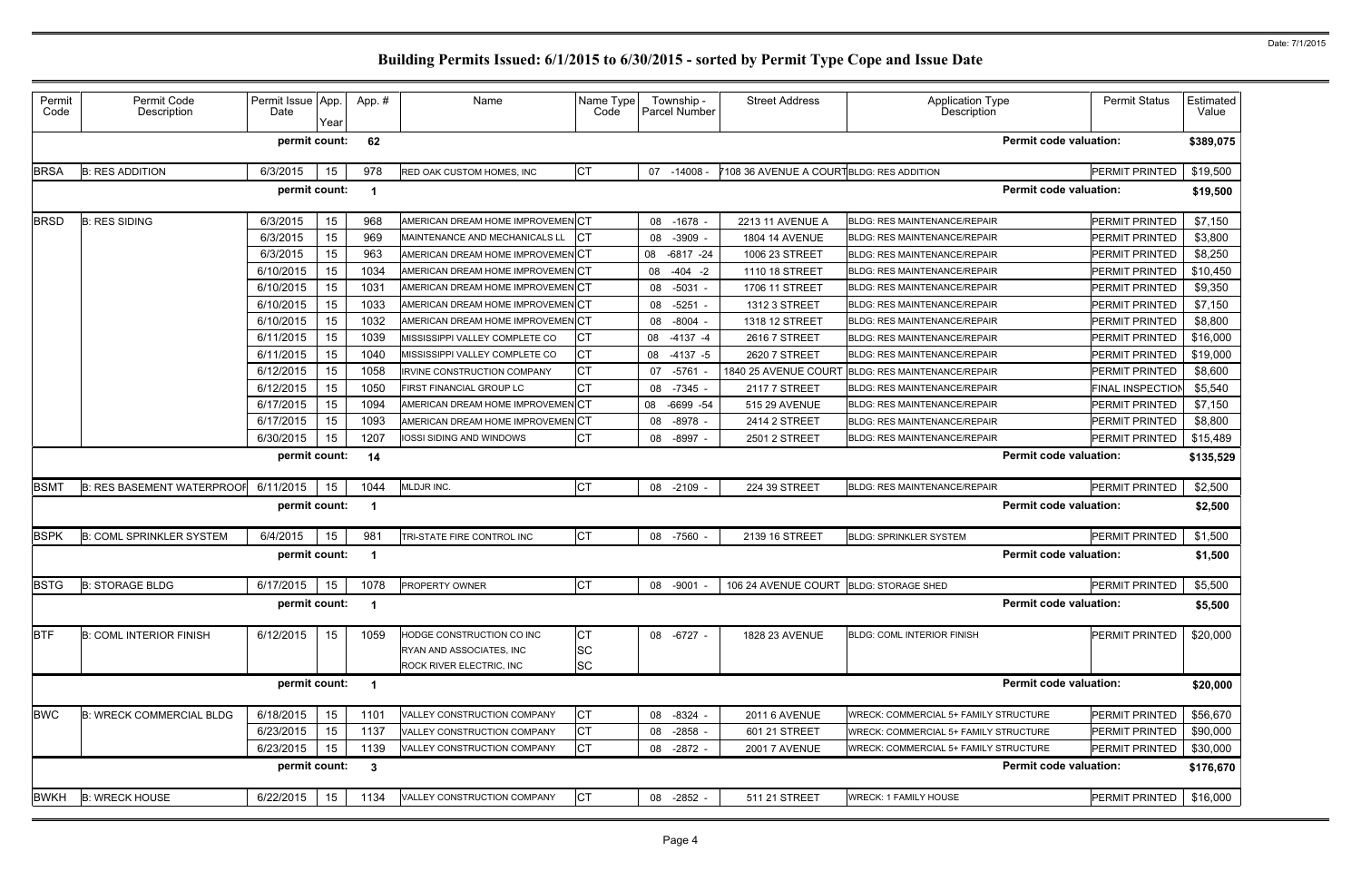| Permit<br>Code | Permit Code<br>Description        | Permit Issue App.<br>Date | Year | App.#        | Name                                 | Name Type<br>Code | Township -<br>Parcel Number | <b>Street Address</b>                    | <b>Application Type</b><br>Description       | <b>Permit Status</b>  | Estimated<br>Value |
|----------------|-----------------------------------|---------------------------|------|--------------|--------------------------------------|-------------------|-----------------------------|------------------------------------------|----------------------------------------------|-----------------------|--------------------|
|                |                                   | permit count:             |      | 62           |                                      |                   |                             |                                          | <b>Permit code valuation:</b>                |                       | \$389,075          |
| <b>BRSA</b>    | <b>B: RES ADDITION</b>            | 6/3/2015                  | 15   | 978          | RED OAK CUSTOM HOMES, INC            | <b>CT</b>         | 07 -14008 -                 | 7108 36 AVENUE A COURTBLDG: RES ADDITION |                                              | PERMIT PRINTED        | \$19,500           |
|                |                                   | permit count:             |      | -1           |                                      |                   |                             |                                          | <b>Permit code valuation:</b>                |                       | \$19,500           |
| <b>BRSD</b>    | <b>B: RES SIDING</b>              | 6/3/2015                  | 15   | 968          | AMERICAN DREAM HOME IMPROVEMENCT     |                   | 08<br>-1678                 | 2213 11 AVENUE A                         | <b>BLDG: RES MAINTENANCE/REPAIR</b>          | PERMIT PRINTED        | \$7,150            |
|                |                                   | 6/3/2015                  | 15   | 969          | MAINTENANCE AND MECHANICALS LL       | <b>CT</b>         | $-3909$ -<br>08             | <b>1804 14 AVENUE</b>                    | <b>BLDG: RES MAINTENANCE/REPAIR</b>          | PERMIT PRINTED        | \$3,800            |
|                |                                   | 6/3/2015                  | 15   | 963          | AMERICAN DREAM HOME IMPROVEMENCT     |                   | 08<br>$-6817 -24$           | 1006 23 STREET                           | <b>BLDG: RES MAINTENANCE/REPAIR</b>          | PERMIT PRINTED        | \$8,250            |
|                |                                   | 6/10/2015                 | 15   | 1034         | AMERICAN DREAM HOME IMPROVEMEN CT    |                   | $-404 -2$<br>08             | 1110 18 STREET                           | <b>BLDG: RES MAINTENANCE/REPAIR</b>          | PERMIT PRINTED        | \$10,450           |
|                |                                   | 6/10/2015                 | 15   | 1031         | AMERICAN DREAM HOME IMPROVEMEN CT    |                   | $-5031 -$<br>08             | 1706 11 STREET                           | <b>BLDG: RES MAINTENANCE/REPAIR</b>          | PERMIT PRINTED        | \$9,350            |
|                |                                   | 6/10/2015                 | 15   | 1033         | AMERICAN DREAM HOME IMPROVEMEN CT    |                   | $-5251$<br>08               | 1312 3 STREET                            | <b>BLDG: RES MAINTENANCE/REPAIR</b>          | PERMIT PRINTED        | \$7,150            |
|                |                                   | 6/10/2015                 | 15   | 1032         | AMERICAN DREAM HOME IMPROVEMEN CT    |                   | $-8004$<br>08               | 1318 12 STREET                           | <b>BLDG: RES MAINTENANCE/REPAIR</b>          | PERMIT PRINTED        | \$8,800            |
|                |                                   | 6/11/2015                 | 15   | 1039         | MISSISSIPPI VALLEY COMPLETE CO       | <b>CT</b>         | $-4137 - 4$<br>08           | 2616 7 STREET                            | <b>BLDG: RES MAINTENANCE/REPAIR</b>          | PERMIT PRINTED        | \$16,000           |
|                |                                   | 6/11/2015                 | 15   | 1040         | MISSISSIPPI VALLEY COMPLETE CO       | <b>CT</b>         | $-4137 - 5$<br>08           | 2620 7 STREET                            | <b>BLDG: RES MAINTENANCE/REPAIR</b>          | PERMIT PRINTED        | \$19,000           |
|                |                                   | 6/12/2015                 | 15   | 1058         | <b>IRVINE CONSTRUCTION COMPANY</b>   | <b>CT</b>         | $-5761$<br>07               | 1840 25 AVENUE COURT                     | <b>BLDG: RES MAINTENANCE/REPAIR</b>          | PERMIT PRINTED        | \$8,600            |
|                |                                   | 6/12/2015                 | 15   | 1050         | FIRST FINANCIAL GROUP LC             | <b>CT</b>         | 08<br>$-7345 -$             | 2117 7 STREET                            | <b>BLDG: RES MAINTENANCE/REPAIR</b>          | FINAL INSPECTION      | \$5,540            |
|                |                                   | 6/17/2015                 | 15   | 1094         | AMERICAN DREAM HOME IMPROVEMEN CT    |                   | $-6699 - 54$<br>08          | 515 29 AVENUE                            | <b>BLDG: RES MAINTENANCE/REPAIR</b>          | PERMIT PRINTED        | \$7,150            |
|                |                                   | 6/17/2015                 | 15   | 1093         | AMERICAN DREAM HOME IMPROVEMEN CT    |                   | $-8978$<br>08               | 2414 2 STREET                            | <b>BLDG: RES MAINTENANCE/REPAIR</b>          | PERMIT PRINTED        | \$8,800            |
|                |                                   | 6/30/2015                 | 15   | 1207         | IOSSI SIDING AND WINDOWS             | <b>CT</b>         | 08<br>-8997 -               | <b>2501 2 STREET</b>                     | BLDG: RES MAINTENANCE/REPAIR                 | PERMIT PRINTED        | \$15,489           |
|                |                                   | permit count:             |      | 14           |                                      |                   |                             |                                          | <b>Permit code valuation:</b>                |                       | \$135,529          |
| <b>BSMT</b>    | <b>B: RES BASEMENT WATERPROOF</b> | 6/11/2015                 | 15   | 1044         | MLDJR INC.                           | <b>CT</b>         | $-2109$ -<br>08             | 224 39 STREET                            | <b>BLDG: RES MAINTENANCE/REPAIR</b>          | <b>PERMIT PRINTED</b> | \$2,500            |
|                |                                   | permit count:             |      |              |                                      |                   |                             |                                          | <b>Permit code valuation:</b>                |                       | \$2,500            |
| <b>BSPK</b>    | <b>B: COML SPRINKLER SYSTEM</b>   | 6/4/2015                  | 15   | 981          | TRI-STATE FIRE CONTROL INC           | <b>CT</b>         | 08<br>-7560 -               | 2139 16 STREET                           | <b>BLDG: SPRINKLER SYSTEM</b>                | PERMIT PRINTED        | \$1,500            |
|                |                                   | permit count:             |      | -1           |                                      |                   |                             |                                          | <b>Permit code valuation:</b>                |                       | \$1,500            |
| <b>BSTG</b>    | <b>B: STORAGE BLDG</b>            |                           |      |              | 6/17/2015   15   1078 PROPERTY OWNER | <b>CT</b>         | 08 -9001                    | 106 24 AVENUE COURT BLDG: STORAGE SHED   |                                              | PERMIT PRINTED        | \$5,500            |
|                |                                   | permit count:             |      |              |                                      |                   |                             |                                          | <b>Permit code valuation:</b>                |                       | \$5,500            |
| <b>BTF</b>     | <b>B: COML INTERIOR FINISH</b>    | 6/12/2015                 | 15   | 1059         | HODGE CONSTRUCTION CO INC            | <b>CT</b>         | 08 -6727 -                  | 1828 23 AVENUE                           | <b>BLDG: COML INTERIOR FINISH</b>            | PERMIT PRINTED        | \$20,000           |
|                |                                   |                           |      |              | RYAN AND ASSOCIATES, INC             | <b>SC</b>         |                             |                                          |                                              |                       |                    |
|                |                                   |                           |      |              | ROCK RIVER ELECTRIC, INC             | <b>SC</b>         |                             |                                          |                                              |                       |                    |
|                |                                   | permit count:             |      | -1           |                                      |                   |                             |                                          | <b>Permit code valuation:</b>                |                       | \$20,000           |
| <b>BWC</b>     | <b>B: WRECK COMMERCIAL BLDG</b>   | 6/18/2015                 | 15   | 1101         | VALLEY CONSTRUCTION COMPANY          | <b>CT</b>         | $-8324 -$<br>08             | <b>2011 6 AVENUE</b>                     | <b>WRECK: COMMERCIAL 5+ FAMILY STRUCTURE</b> | PERMIT PRINTED        | \$56,670           |
|                |                                   | 6/23/2015                 | 15   | 1137         | VALLEY CONSTRUCTION COMPANY          | <b>CT</b>         | $-2858$ -<br>08             | 601 21 STREET                            | WRECK: COMMERCIAL 5+ FAMILY STRUCTURE        | PERMIT PRINTED        | \$90,000           |
|                |                                   | 6/23/2015                 | 15   | 1139         | VALLEY CONSTRUCTION COMPANY          | <b>CT</b>         | 08<br>-2872 -               | <b>2001 7 AVENUE</b>                     | WRECK: COMMERCIAL 5+ FAMILY STRUCTURE        | <b>PERMIT PRINTED</b> | \$30,000           |
|                |                                   | permit count:             |      | $\mathbf{3}$ |                                      |                   |                             |                                          | <b>Permit code valuation:</b>                |                       | \$176,670          |
| <b>BWKH</b>    | <b>B: WRECK HOUSE</b>             | 6/22/2015                 | 15   | 1134         | VALLEY CONSTRUCTION COMPANY          | <b>CT</b>         | 08 -2852 -                  | 511 21 STREET                            | <b>WRECK: 1 FAMILY HOUSE</b>                 | PERMIT PRINTED        | \$16,000           |
|                |                                   |                           |      |              |                                      |                   |                             |                                          |                                              |                       |                    |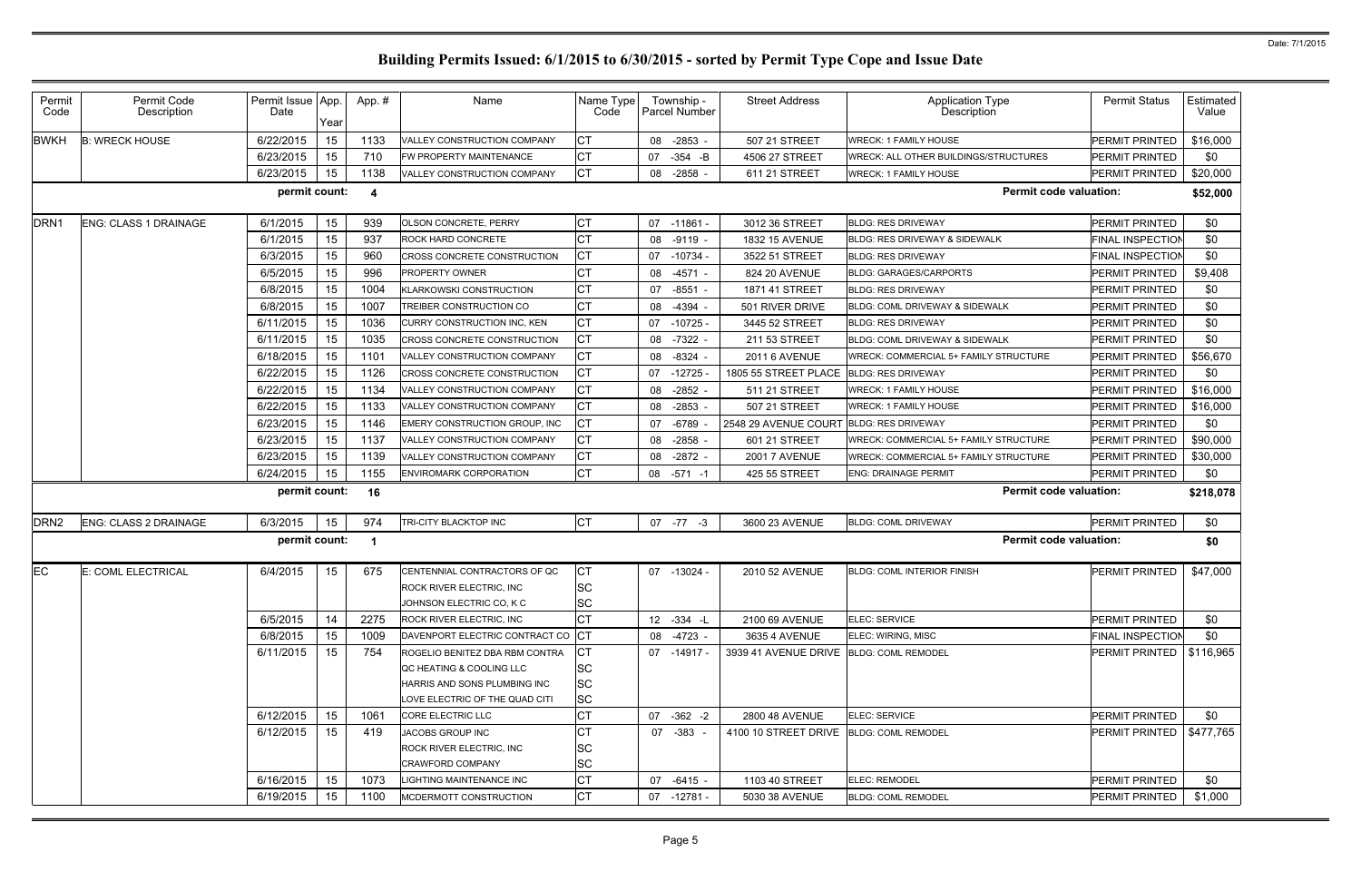| Permit<br>Code   | Permit Code<br>Description   | Permit Issue App.<br>Date | Year | App.#            | Name                                                                                 | Name Type<br>Code            |    | Township -<br>Parcel Number | <b>Street Address</b>                   | <b>Application Type</b><br><b>Description</b> | <b>Permit Status</b>    | Estimated<br>Value |
|------------------|------------------------------|---------------------------|------|------------------|--------------------------------------------------------------------------------------|------------------------------|----|-----------------------------|-----------------------------------------|-----------------------------------------------|-------------------------|--------------------|
| <b>BWKH</b>      | <b>B: WRECK HOUSE</b>        | 6/22/2015                 | 15   | 1133             | VALLEY CONSTRUCTION COMPANY                                                          | СT                           |    | 08 -2853 -                  | 507 21 STREET                           | <b>WRECK: 1 FAMILY HOUSE</b>                  | PERMIT PRINTED          | \$16,000           |
|                  |                              | 6/23/2015                 | 15   | 710              | FW PROPERTY MAINTENANCE                                                              | СT                           | 07 | $-354$ $-B$                 | 4506 27 STREET                          | <b>WRECK: ALL OTHER BUILDINGS/STRUCTURES</b>  | PERMIT PRINTED          | \$0                |
|                  |                              | 6/23/2015                 | 15   | 1138             | VALLEY CONSTRUCTION COMPANY                                                          | CT                           | 08 | $-2858 -$                   | 611 21 STREET                           | <b>WRECK: 1 FAMILY HOUSE</b>                  | PERMIT PRINTED          | \$20,000           |
|                  |                              | permit count:             |      | $\boldsymbol{4}$ |                                                                                      |                              |    |                             |                                         | <b>Permit code valuation:</b>                 |                         | \$52,000           |
| DRN <sub>1</sub> | <b>ENG: CLASS 1 DRAINAGE</b> | 6/1/2015                  | 15   | 939              | <b>OLSON CONCRETE, PERRY</b>                                                         | СT                           | 07 | -11861 -                    | 3012 36 STREET                          | <b>BLDG: RES DRIVEWAY</b>                     | <b>PERMIT PRINTED</b>   | \$0                |
|                  |                              | 6/1/2015                  | 15   | 937              | <b>ROCK HARD CONCRETE</b>                                                            | СT                           |    | 08 -9119 -                  | 1832 15 AVENUE                          | BLDG: RES DRIVEWAY & SIDEWALK                 | <b>FINAL INSPECTION</b> | \$0                |
|                  |                              | 6/3/2015                  | 15   | 960              | CROSS CONCRETE CONSTRUCTION                                                          | СT                           | 07 | $-10734$ -                  | 3522 51 STREET                          | <b>BLDG: RES DRIVEWAY</b>                     | FINAL INSPECTION        | \$0                |
|                  |                              | 6/5/2015                  | 15   | 996              | <b>PROPERTY OWNER</b>                                                                | СT                           |    | 08 -4571 -                  | 824 20 AVENUE                           | <b>BLDG: GARAGES/CARPORTS</b>                 | PERMIT PRINTED          | \$9,408            |
|                  |                              | 6/8/2015                  | 15   | 1004             | <b>KLARKOWSKI CONSTRUCTION</b>                                                       | СT                           | 07 | $-8551 -$                   | 1871 41 STREET                          | <b>BLDG: RES DRIVEWAY</b>                     | PERMIT PRINTED          | \$0                |
|                  |                              | 6/8/2015                  | 15   | 1007             | TREIBER CONSTRUCTION CO                                                              | СT                           | 08 | $-4394 -$                   | 501 RIVER DRIVE                         | BLDG: COML DRIVEWAY & SIDEWALK                | PERMIT PRINTED          | \$0                |
|                  |                              | 6/11/2015                 | 15   | 1036             | CURRY CONSTRUCTION INC, KEN                                                          | СT                           | 07 | $-10725$                    | 3445 52 STREET                          | <b>BLDG: RES DRIVEWAY</b>                     | PERMIT PRINTED          | \$0                |
|                  |                              | 6/11/2015                 | 15   | 1035             | <b>CROSS CONCRETE CONSTRUCTION</b>                                                   | СT                           | 08 | $-7322 -$                   | 211 53 STREET                           | <b>BLDG: COML DRIVEWAY &amp; SIDEWALK</b>     | PERMIT PRINTED          | \$0                |
|                  |                              | 6/18/2015                 | 15   | 1101             | VALLEY CONSTRUCTION COMPANY                                                          | СT                           | 08 | $-8324 -$                   | <b>2011 6 AVENUE</b>                    | <b>WRECK: COMMERCIAL 5+ FAMILY STRUCTURE</b>  | PERMIT PRINTED          | \$56,670           |
|                  |                              | 6/22/2015                 | 15   | 1126             | <b>CROSS CONCRETE CONSTRUCTION</b>                                                   | СT                           | 07 | $-12725$                    | 1805 55 STREET PLACE                    | <b>BLDG: RES DRIVEWAY</b>                     | PERMIT PRINTED          | \$0                |
|                  |                              | 6/22/2015                 | 15   | 1134             | VALLEY CONSTRUCTION COMPANY                                                          | СT                           | 08 | $-2852 -$                   | 511 21 STREET                           | <b>WRECK: 1 FAMILY HOUSE</b>                  | PERMIT PRINTED          | \$16,000           |
|                  |                              | 6/22/2015                 | 15   | 1133             | VALLEY CONSTRUCTION COMPANY                                                          | СT                           | 08 | $-2853 -$                   | 507 21 STREET                           | <b>WRECK: 1 FAMILY HOUSE</b>                  | PERMIT PRINTED          | \$16,000           |
|                  |                              | 6/23/2015                 | 15   | 1146             | EMERY CONSTRUCTION GROUP, INC                                                        | СT                           | 07 | $-6789$                     | 2548 29 AVENUE COURT                    | <b>BLDG: RES DRIVEWAY</b>                     | PERMIT PRINTED          | \$0                |
|                  |                              | 6/23/2015                 | 15   | 1137             | VALLEY CONSTRUCTION COMPANY                                                          | СT                           | 08 | $-2858 -$                   | 601 21 STREET                           | <b>WRECK: COMMERCIAL 5+ FAMILY STRUCTURE</b>  | PERMIT PRINTED          | \$90,000           |
|                  |                              | 6/23/2015                 | 15   | 1139             | VALLEY CONSTRUCTION COMPANY                                                          | СT                           | 08 | $-2872 -$                   | <b>2001 7 AVENUE</b>                    | <b>WRECK: COMMERCIAL 5+ FAMILY STRUCTURE</b>  | PERMIT PRINTED          | \$30,000           |
|                  |                              | 6/24/2015                 | 15   | 1155             | ENVIROMARK CORPORATION                                                               | СT                           |    | 08 -571 -1                  | 425 55 STREET                           | <b>ENG: DRAINAGE PERMIT</b>                   | PERMIT PRINTED          | \$0                |
|                  |                              | permit count:             |      | 16               |                                                                                      |                              |    |                             |                                         | <b>Permit code valuation:</b>                 |                         | \$218,078          |
| DRN <sub>2</sub> | <b>ENG: CLASS 2 DRAINAGE</b> | 6/3/2015                  | 15   | 974              | TRI-CITY BLACKTOP INC                                                                | <b>CT</b>                    |    | $07 - 77 - 3$               | 3600 23 AVENUE                          | <b>BLDG: COML DRIVEWAY</b>                    | PERMIT PRINTED          | \$0                |
|                  |                              | permit count:             |      |                  |                                                                                      |                              |    |                             |                                         | <b>Permit code valuation:</b>                 |                         | \$0                |
| EC               | E: COML ELECTRICAL           | 6/4/2015                  | 15   | 675              | CENTENNIAL CONTRACTORS OF QC<br>ROCK RIVER ELECTRIC, INC<br>JOHNSON ELECTRIC CO, K C | CТ<br><b>SC</b><br><b>SC</b> |    | 07 -13024 -                 | 2010 52 AVENUE                          | <b>BLDG: COML INTERIOR FINISH</b>             | <b>PERMIT PRINTED</b>   | \$47,000           |
|                  |                              | 6/5/2015                  | 14   | 2275             | <b>ROCK RIVER ELECTRIC, INC</b>                                                      | СT                           |    | 12 -334 -L                  | 2100 69 AVENUE                          | ELEC: SERVICE                                 | <b>PERMIT PRINTED</b>   | \$0                |
|                  |                              | 6/8/2015                  | 15   | 1009             | DAVENPORT ELECTRIC CONTRACT CO                                                       | <b>ICT</b>                   |    | 08 -4723 -                  | 3635 4 AVENUE                           | ELEC: WIRING, MISC                            | <b>FINAL INSPECTION</b> | \$0                |
|                  |                              | 6/11/2015                 | 15   | 754              | ROGELIO BENITEZ DBA RBM CONTRA                                                       | СT                           |    | 07 -14917 -                 | 3939 41 AVENUE DRIVE BLDG: COML REMODEL |                                               | PERMIT PRINTED          | \$116,965          |
|                  |                              |                           |      |                  | QC HEATING & COOLING LLC                                                             | <b>SC</b>                    |    |                             |                                         |                                               |                         |                    |
|                  |                              |                           |      |                  | HARRIS AND SONS PLUMBING INC                                                         | SC                           |    |                             |                                         |                                               |                         |                    |
|                  |                              |                           |      |                  | LOVE ELECTRIC OF THE QUAD CITI                                                       | <b>SC</b>                    |    |                             |                                         |                                               |                         |                    |
|                  |                              | 6/12/2015                 | 15   | 1061             | <b>CORE ELECTRIC LLC</b>                                                             | СT                           |    | 07 -362 -2                  | 2800 48 AVENUE                          | <b>ELEC: SERVICE</b>                          | <b>PERMIT PRINTED</b>   | \$0                |
|                  |                              | 6/12/2015                 | 15   | 419              | JACOBS GROUP INC                                                                     | СT                           |    | 07 - 383 -                  | 4100 10 STREET DRIVE BLDG: COML REMODEL |                                               | PERMIT PRINTED          | \$477,765          |
|                  |                              |                           |      |                  | <b>ROCK RIVER ELECTRIC, INC</b>                                                      | SC                           |    |                             |                                         |                                               |                         |                    |
|                  |                              |                           |      |                  | CRAWFORD COMPANY                                                                     | SC                           |    |                             |                                         |                                               |                         |                    |
|                  |                              | 6/16/2015                 | 15   | 1073             | LIGHTING MAINTENANCE INC                                                             | СT                           |    | 07 -6415 -                  | 1103 40 STREET                          | <b>ELEC: REMODEL</b>                          | PERMIT PRINTED          | \$0                |
|                  |                              | 6/19/2015                 | 15   | 1100             | MCDERMOTT CONSTRUCTION                                                               | СT                           |    | 07 -12781 -                 | 5030 38 AVENUE                          | <b>BLDG: COML REMODEL</b>                     | PERMIT PRINTED          | \$1,000            |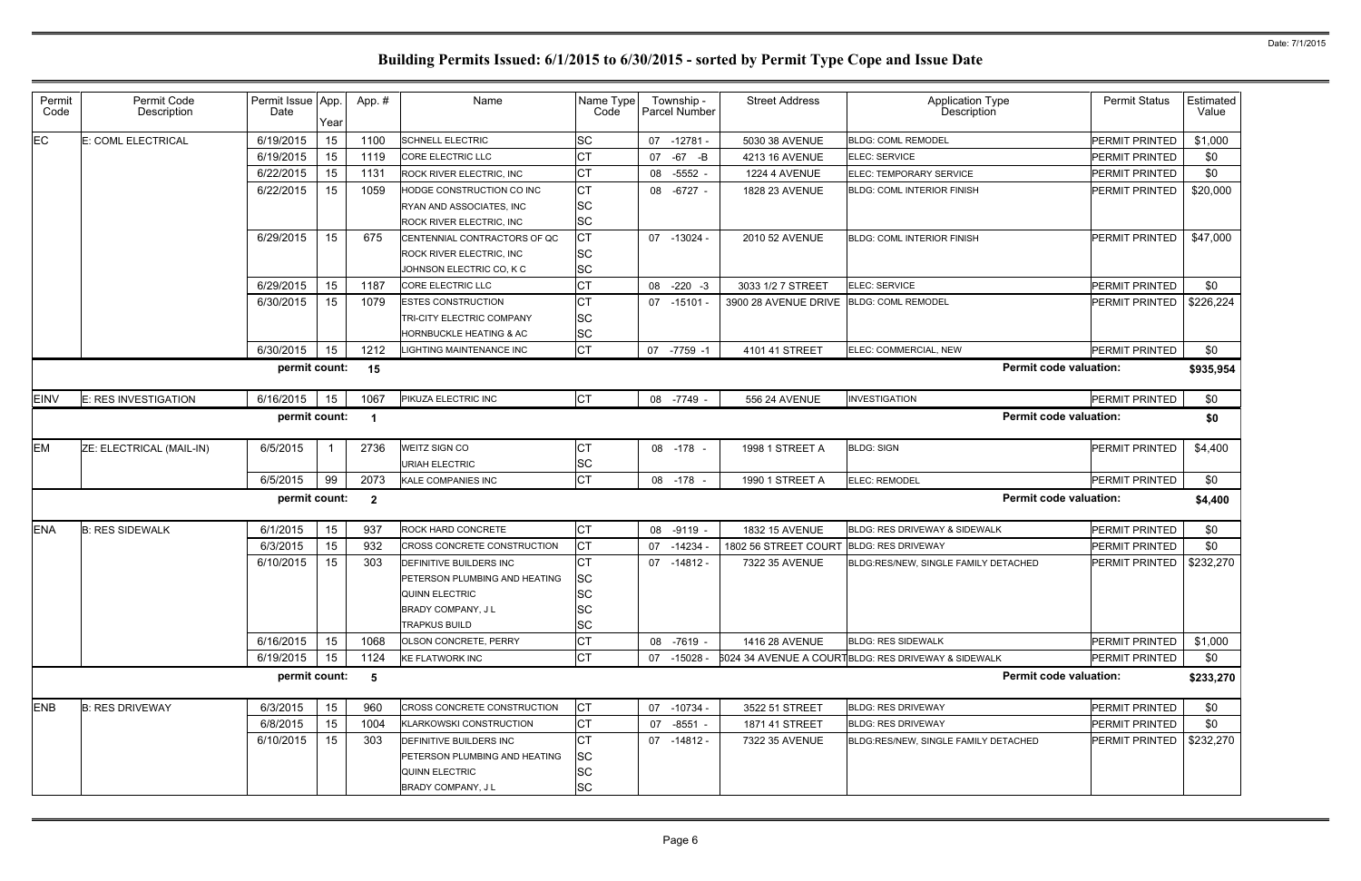| Permit<br>Code | Permit Code<br>Description | Permit Issue App.<br>Date | Year | App.#          | Name                                                                                                   | Name Type<br>Code                         |    | Township -<br>Parcel Number | <b>Street Address</b>                   | <b>Application Type</b><br>Description              | <b>Permit Status</b>  | Estimated<br>Value |
|----------------|----------------------------|---------------------------|------|----------------|--------------------------------------------------------------------------------------------------------|-------------------------------------------|----|-----------------------------|-----------------------------------------|-----------------------------------------------------|-----------------------|--------------------|
| <b>EC</b>      | E: COML ELECTRICAL         | 6/19/2015                 | 15   | 1100           | <b>SCHNELL ELECTRIC</b>                                                                                | <b>SC</b>                                 |    | 07 -12781 -                 | 5030 38 AVENUE                          | <b>BLDG: COML REMODEL</b>                           | PERMIT PRINTED        | \$1,000            |
|                |                            | 6/19/2015                 | 15   | 1119           | CORE ELECTRIC LLC                                                                                      | СT                                        | 07 | $-67$<br>$-B$               | 4213 16 AVENUE                          | <b>ELEC: SERVICE</b>                                | <b>PERMIT PRINTED</b> | \$0                |
|                |                            | 6/22/2015                 | 15   | 1131           | ROCK RIVER ELECTRIC, INC                                                                               | СT                                        |    | 08 -5552 -                  | 1224 4 AVENUE                           | ELEC: TEMPORARY SERVICE                             | PERMIT PRINTED        | \$0                |
|                |                            | 6/22/2015                 | 15   | 1059           | HODGE CONSTRUCTION CO INC                                                                              | СT                                        |    | 08 -6727 -                  | 1828 23 AVENUE                          | <b>BLDG: COML INTERIOR FINISH</b>                   | PERMIT PRINTED        | \$20,000           |
|                |                            |                           |      |                | RYAN AND ASSOCIATES, INC                                                                               | <b>SC</b>                                 |    |                             |                                         |                                                     |                       |                    |
|                |                            |                           |      |                | ROCK RIVER ELECTRIC, INC                                                                               | <b>SC</b>                                 |    |                             |                                         |                                                     |                       |                    |
|                |                            | 6/29/2015                 | 15   | 675            | CENTENNIAL CONTRACTORS OF QC                                                                           | СT                                        |    | 07 -13024 -                 | 2010 52 AVENUE                          | <b>BLDG: COML INTERIOR FINISH</b>                   | <b>PERMIT PRINTED</b> | \$47,000           |
|                |                            |                           |      |                | <b>ROCK RIVER ELECTRIC, INC</b>                                                                        | <b>SC</b>                                 |    |                             |                                         |                                                     |                       |                    |
|                |                            |                           |      |                | JOHNSON ELECTRIC CO, K C                                                                               | <b>SC</b>                                 |    |                             |                                         |                                                     |                       |                    |
|                |                            | 6/29/2015                 | 15   | 1187           | CORE ELECTRIC LLC                                                                                      | СT                                        | 08 | $-220 - 3$                  | 3033 1/2 7 STREET                       | <b>ELEC: SERVICE</b>                                | <b>PERMIT PRINTED</b> | \$0                |
|                |                            | 6/30/2015                 | 15   | 1079           | <b>ESTES CONSTRUCTION</b>                                                                              | СT                                        |    | 07 -15101 -                 | 3900 28 AVENUE DRIVE BLDG: COML REMODEL |                                                     | PERMIT PRINTED        | \$226,224          |
|                |                            |                           |      |                | TRI-CITY ELECTRIC COMPANY                                                                              | <b>SC</b>                                 |    |                             |                                         |                                                     |                       |                    |
|                |                            |                           |      |                | <b>HORNBUCKLE HEATING &amp; AC</b>                                                                     | <b>SC</b>                                 |    |                             |                                         |                                                     |                       |                    |
|                |                            | 6/30/2015                 | 15   | 1212           | LIGHTING MAINTENANCE INC                                                                               | <b>CT</b>                                 |    | 07 -7759 -1                 | 4101 41 STREET                          | ELEC: COMMERCIAL, NEW                               | PERMIT PRINTED        | \$0                |
|                |                            | permit count:             |      | 15             |                                                                                                        |                                           |    |                             |                                         | <b>Permit code valuation:</b>                       |                       | \$935,954          |
| <b>EINV</b>    | E: RES INVESTIGATION       | 6/16/2015                 | 15   | 1067           | PIKUZA ELECTRIC INC                                                                                    | Iст                                       |    | 08 -7749 -                  | 556 24 AVENUE                           | <b>INVESTIGATION</b>                                | PERMIT PRINTED        | \$0                |
|                |                            | permit count:             |      | -1             |                                                                                                        |                                           |    |                             |                                         | <b>Permit code valuation:</b>                       |                       | \$0                |
| <b>EM</b>      | ZE: ELECTRICAL (MAIL-IN)   | 6/5/2015                  |      | 2736           | <b>WEITZ SIGN CO</b><br><b>URIAH ELECTRIC</b>                                                          | СT                                        |    | 08 -178 -                   | 1998 1 STREET A                         | <b>BLDG: SIGN</b>                                   | PERMIT PRINTED        | \$4,400            |
|                |                            | 6/5/2015                  | 99   | 2073           | KALE COMPANIES INC                                                                                     | SC<br>СT                                  |    | 08 -178                     | 1990 1 STREET A                         | <b>ELEC: REMODEL</b>                                | PERMIT PRINTED        | \$0                |
|                |                            |                           |      |                |                                                                                                        |                                           |    |                             |                                         |                                                     |                       |                    |
|                |                            | permit count:             |      | $\overline{2}$ |                                                                                                        |                                           |    |                             |                                         | <b>Permit code valuation:</b>                       |                       | \$4,400            |
| <b>ENA</b>     | <b>B: RES SIDEWALK</b>     | 6/1/2015                  | 15   | 937            | ROCK HARD CONCRETE                                                                                     | СT                                        |    | 08 -9119 -                  | 1832 15 AVENUE                          | BLDG: RES DRIVEWAY & SIDEWALK                       | PERMIT PRINTED        | \$0                |
|                |                            | 6/3/2015                  | 15   | 932            | CROSS CONCRETE CONSTRUCTION                                                                            | <b>CT</b>                                 | 07 | $-14234$                    | 1802 56 STREET COURT                    | <b>BLDG: RES DRIVEWAY</b>                           | PERMIT PRINTED        | \$0                |
|                |                            | 6/10/2015                 | 15   | 303            | DEFINITIVE BUILDERS INC                                                                                | СT                                        |    | 07 -14812 -                 | 7322 35 AVENUE                          | BLDG:RES/NEW, SINGLE FAMILY DETACHED                | PERMIT PRINTED        | \$232,270          |
|                |                            |                           |      |                | PETERSON PLUMBING AND HEATING                                                                          | <b>SC</b>                                 |    |                             |                                         |                                                     |                       |                    |
|                |                            |                           |      |                | <b>QUINN ELECTRIC</b>                                                                                  | <b>SC</b>                                 |    |                             |                                         |                                                     |                       |                    |
|                |                            |                           |      |                | BRADY COMPANY, J L                                                                                     | SC                                        |    |                             |                                         |                                                     |                       |                    |
|                |                            |                           |      |                | <b>TRAPKUS BUILD</b>                                                                                   | <b>SC</b>                                 |    |                             |                                         |                                                     |                       |                    |
|                |                            | 6/16/2015                 | 15   | 1068           | OLSON CONCRETE, PERRY                                                                                  | <b>CT</b>                                 |    | 08 -7619 -                  | 1416 28 AVENUE                          | <b>BLDG: RES SIDEWALK</b>                           | PERMIT PRINTED        | \$1,000            |
|                |                            | 6/19/2015                 | 15   | 1124           | <b>KE FLATWORK INC</b>                                                                                 | <b>CT</b>                                 | 07 | -15028 -                    |                                         | 6024 34 AVENUE A COURTBLDG: RES DRIVEWAY & SIDEWALK | <b>PERMIT PRINTED</b> | \$0                |
|                |                            | permit count:             |      | 5              |                                                                                                        |                                           |    |                             |                                         | <b>Permit code valuation:</b>                       |                       | \$233,270          |
| <b>ENB</b>     | <b>B: RES DRIVEWAY</b>     | 6/3/2015                  | 15   | 960            | <b>CROSS CONCRETE CONSTRUCTION</b>                                                                     | СT                                        |    | 07 -10734 -                 | 3522 51 STREET                          | <b>BLDG: RES DRIVEWAY</b>                           | PERMIT PRINTED        | \$0                |
|                |                            | 6/8/2015                  | 15   | 1004           | <b>KLARKOWSKI CONSTRUCTION</b>                                                                         | СT                                        |    | 07 -8551 -                  | 1871 41 STREET                          | <b>BLDG: RES DRIVEWAY</b>                           | PERMIT PRINTED        | \$0                |
|                |                            | 6/10/2015                 | 15   | 303            | DEFINITIVE BUILDERS INC<br>PETERSON PLUMBING AND HEATING<br><b>QUINN ELECTRIC</b><br>BRADY COMPANY, JL | СT<br><b>SC</b><br><b>SC</b><br><b>SC</b> |    | 07 -14812 -                 | 7322 35 AVENUE                          | BLDG:RES/NEW, SINGLE FAMILY DETACHED                | PERMIT PRINTED        | \$232,270          |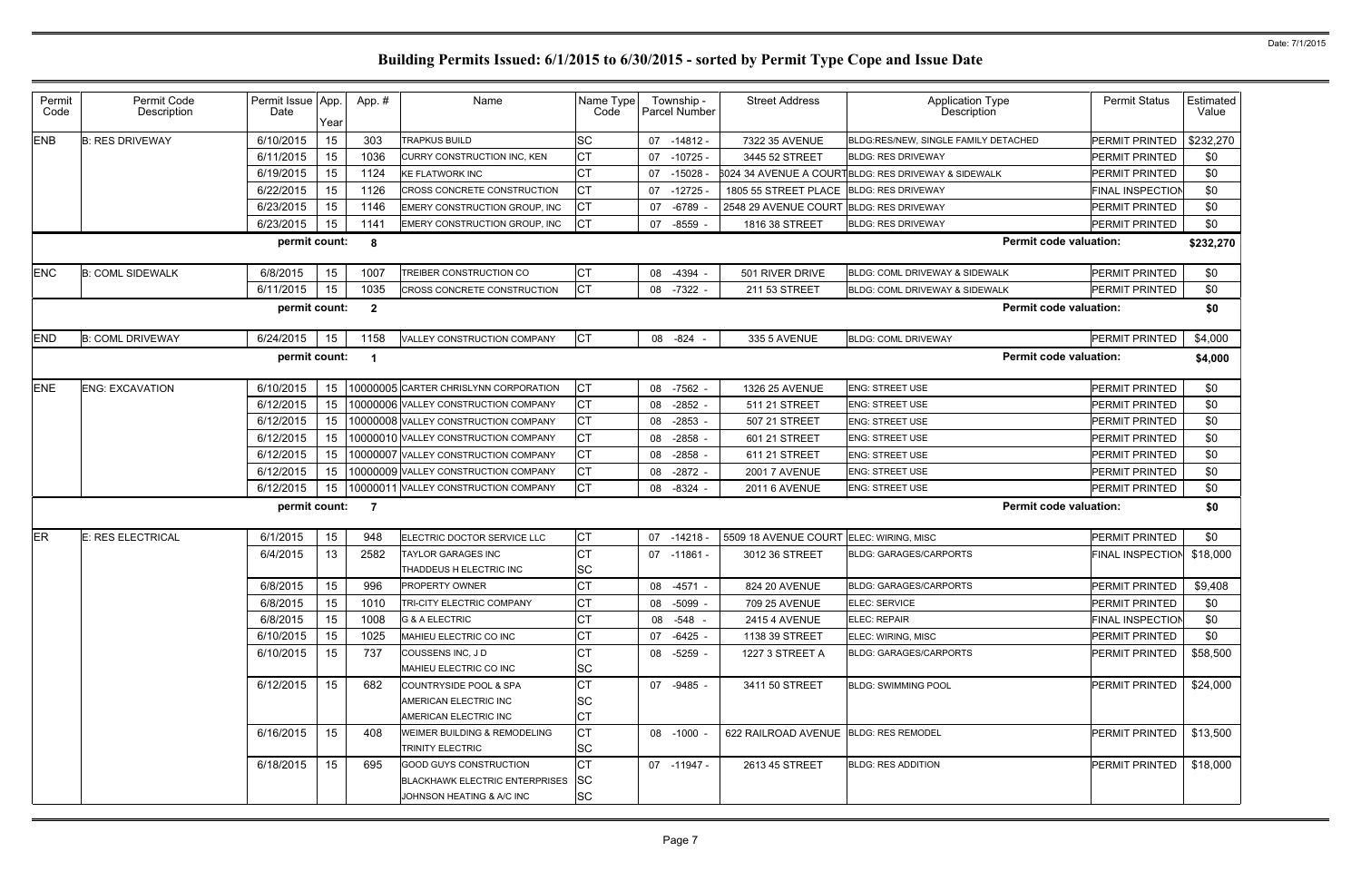| Permit<br>Code | Permit Code<br>Description | Permit Issue App.<br>Date | Year | App.#        | Name                                             | Name Type<br>Code      |    | Township -<br><b>Parcel Number</b> | <b>Street Address</b>                   | <b>Application Type</b><br>Description              | <b>Permit Status</b>    | Estimated<br>Value |
|----------------|----------------------------|---------------------------|------|--------------|--------------------------------------------------|------------------------|----|------------------------------------|-----------------------------------------|-----------------------------------------------------|-------------------------|--------------------|
| <b>ENB</b>     | <b>B: RES DRIVEWAY</b>     | 6/10/2015                 | 15   | 303          | <b>TRAPKUS BUILD</b>                             | <b>SC</b>              | 07 | -14812 -                           | 7322 35 AVENUE                          | BLDG:RES/NEW, SINGLE FAMILY DETACHED                | PERMIT PRINTED          | \$232,270          |
|                |                            | 6/11/2015                 | 15   | 1036         | <b>CURRY CONSTRUCTION INC. KEN</b>               | <b>CT</b>              | 07 | -10725 -                           | 3445 52 STREET                          | <b>BLDG: RES DRIVEWAY</b>                           | PERMIT PRINTED          | \$0                |
|                |                            | 6/19/2015                 | 15   | 1124         | <b>KE FLATWORK INC</b>                           | <b>CT</b>              | 07 | $-15028 -$                         |                                         | 6024 34 AVENUE A COURTBLDG: RES DRIVEWAY & SIDEWALK | <b>PERMIT PRINTED</b>   | \$0                |
|                |                            | 6/22/2015                 | 15   | 1126         | CROSS CONCRETE CONSTRUCTION                      | <b>CT</b>              | 07 | $-12725$                           | 1805 55 STREET PLACE                    | <b>BLDG: RES DRIVEWAY</b>                           | FINAL INSPECTION        | \$0                |
|                |                            | 6/23/2015                 | 15   | 1146         | EMERY CONSTRUCTION GROUP, INC                    | СT                     | 07 | -6789                              | 2548 29 AVENUE COURT BLDG: RES DRIVEWAY |                                                     | PERMIT PRINTED          | \$0                |
|                |                            | 6/23/2015                 | 15   | 1141         | EMERY CONSTRUCTION GROUP, INC                    | <b>CT</b>              | 07 | $-8559$                            | 1816 38 STREET                          | <b>BLDG: RES DRIVEWAY</b>                           | PERMIT PRINTED          | \$0                |
|                |                            | permit count:             |      | 8            |                                                  |                        |    |                                    |                                         | <b>Permit code valuation:</b>                       |                         | \$232,270          |
| <b>ENC</b>     | <b>B: COML SIDEWALK</b>    | 6/8/2015                  | 15   | 1007         | TREIBER CONSTRUCTION CO                          | CT                     | 08 | $-4394$                            | 501 RIVER DRIVE                         | BLDG: COML DRIVEWAY & SIDEWALK                      | <b>PERMIT PRINTED</b>   | \$0                |
|                |                            | 6/11/2015                 | 15   | 1035         | CROSS CONCRETE CONSTRUCTION                      | <b>CT</b>              | 08 | -7322 -                            | 211 53 STREET                           | <b>BLDG: COML DRIVEWAY &amp; SIDEWALK</b>           | PERMIT PRINTED          | \$0                |
|                |                            | permit count:             |      | $\mathbf{2}$ |                                                  |                        |    |                                    |                                         | <b>Permit code valuation:</b>                       |                         | \$0                |
| <b>END</b>     | <b>B: COML DRIVEWAY</b>    | 6/24/2015                 | 15   | 1158         | VALLEY CONSTRUCTION COMPANY                      | <b>CT</b>              |    | 08 -824                            | 335 5 AVENUE                            | <b>BLDG: COML DRIVEWAY</b>                          | <b>PERMIT PRINTED</b>   | \$4,000            |
|                |                            | permit count:             |      | -1           |                                                  |                        |    |                                    |                                         | <b>Permit code valuation:</b>                       |                         | \$4,000            |
| <b>ENE</b>     | <b>ENG: EXCAVATION</b>     | 6/10/2015                 | 15   |              | 10000005 CARTER CHRISLYNN CORPORATION            | <b>CT</b>              | 08 | -7562 -                            | 1326 25 AVENUE                          | <b>ENG: STREET USE</b>                              | PERMIT PRINTED          | \$0                |
|                |                            | 6/12/2015                 | 15   |              | 10000006 VALLEY CONSTRUCTION COMPANY             | <b>CT</b>              | 08 | $-2852$                            | 511 21 STREET                           | <b>ENG: STREET USE</b>                              | <b>PERMIT PRINTED</b>   | \$0                |
|                |                            | 6/12/2015                 | 15   |              | 10000008 VALLEY CONSTRUCTION COMPANY             | <b>CT</b>              | 08 | $-2853$                            | 507 21 STREET                           | <b>ENG: STREET USE</b>                              | <b>PERMIT PRINTED</b>   | \$0                |
|                |                            | 6/12/2015                 | 15   |              | 10000010 VALLEY CONSTRUCTION COMPANY             | CT                     | 08 | $-2858$                            | 601 21 STREET                           | <b>ENG: STREET USE</b>                              | <b>PERMIT PRINTED</b>   | \$0                |
|                |                            | 6/12/2015                 | 15   |              | 10000007 VALLEY CONSTRUCTION COMPANY             | CT                     | 08 | $-2858$ -                          | 611 21 STREET                           | <b>ENG: STREET USE</b>                              | <b>PERMIT PRINTED</b>   | \$0                |
|                |                            | 6/12/2015                 | 15   |              | 10000009 VALLEY CONSTRUCTION COMPANY             | <b>CT</b>              | 08 | $-2872 -$                          | <b>2001 7 AVENUE</b>                    | <b>ENG: STREET USE</b>                              | <b>PERMIT PRINTED</b>   | \$0                |
|                |                            | 6/12/2015                 | 15   |              | 10000011 VALLEY CONSTRUCTION COMPANY             | <b>CT</b>              | 08 | $-8324 -$                          | <b>2011 6 AVENUE</b>                    | <b>ENG: STREET USE</b>                              | <b>PERMIT PRINTED</b>   | \$0                |
|                |                            | permit count:             |      | -7           |                                                  |                        |    |                                    |                                         | <b>Permit code valuation:</b>                       |                         | \$0                |
| ER             | <b>E: RES ELECTRICAL</b>   | 6/1/2015                  | 15   | 948          | ELECTRIC DOCTOR SERVICE LLC                      | СT                     | 07 | -14218 -                           | 5509 18 AVENUE COURT                    | ELEC: WIRING, MISC                                  | PERMIT PRINTED          | \$0                |
|                |                            | 6/4/2015                  | 13   | 2582         | <b>TAYLOR GARAGES INC</b>                        | <b>CT</b>              |    | 07 -11861 -                        | 3012 36 STREET                          | <b>BLDG: GARAGES/CARPORTS</b>                       | FINAL INSPECTION        | \$18,000           |
|                |                            |                           |      |              | THADDEUS H ELECTRIC INC                          | <b>SC</b>              |    |                                    |                                         |                                                     |                         |                    |
|                |                            | 6/8/2015                  | 15   | 996          | PROPERTY OWNER                                   | <b>CT</b>              |    | 08 -4571 -                         | 824 20 AVENUE                           | <b>BLDG: GARAGES/CARPORTS</b>                       | PERMIT PRINTED          | \$9,408            |
|                |                            | 6/8/2015                  | 15   | 1010         | TRI-CITY ELECTRIC COMPANY                        | СT                     |    | 08 -5099 -                         | 709 25 AVENUE                           | <b>ELEC: SERVICE</b>                                | <b>PERMIT PRINTED</b>   | \$0                |
|                |                            | 6/8/2015                  | 15   | 1008         | <b>G &amp; A ELECTRIC</b>                        | СT                     |    | 08 -548 -                          | <b>2415 4 AVENUE</b>                    | <b>ELEC: REPAIR</b>                                 | <b>FINAL INSPECTION</b> | \$0                |
|                |                            | 6/10/2015                 | 15   | 1025         | MAHIEU ELECTRIC CO INC                           | СT                     |    | 07 -6425 -                         | 1138 39 STREET                          | ELEC: WIRING, MISC                                  | PERMIT PRINTED          | \$0                |
|                |                            | 6/10/2015                 | 15   | 737          | COUSSENS INC, J D<br>MAHIEU ELECTRIC CO INC      | СT<br><b>SC</b>        |    | 08 -5259 -                         | 1227 3 STREET A                         | <b>BLDG: GARAGES/CARPORTS</b>                       | PERMIT PRINTED          | \$58,500           |
|                |                            | 6/12/2015                 | 15   | 682          | COUNTRYSIDE POOL & SPA                           | CT                     |    | 07 -9485 -                         | 3411 50 STREET                          | <b>BLDG: SWIMMING POOL</b>                          | <b>PERMIT PRINTED</b>   | \$24,000           |
|                |                            |                           |      |              | AMERICAN ELECTRIC INC                            | <b>SC</b>              |    |                                    |                                         |                                                     |                         |                    |
|                |                            |                           |      |              | AMERICAN ELECTRIC INC                            | СT                     |    |                                    |                                         |                                                     |                         |                    |
|                |                            | 6/16/2015                 | 15   | 408          | WEIMER BUILDING & REMODELING<br>TRINITY ELECTRIC | <b>CT</b><br><b>SC</b> |    | 08 -1000 -                         | 622 RAILROAD AVENUE BLDG: RES REMODEL   |                                                     | PERMIT PRINTED          | \$13,500           |
|                |                            | 6/18/2015                 | 15   | 695          | <b>GOOD GUYS CONSTRUCTION</b>                    | <b>CT</b>              |    | 07 -11947 -                        | 2613 45 STREET                          | <b>BLDG: RES ADDITION</b>                           | <b>PERMIT PRINTED</b>   | \$18,000           |
|                |                            |                           |      |              | <b>BLACKHAWK ELECTRIC ENTERPRISES</b>            | <b>SC</b>              |    |                                    |                                         |                                                     |                         |                    |
|                |                            |                           |      |              | JOHNSON HEATING & A/C INC                        | <b>SC</b>              |    |                                    |                                         |                                                     |                         |                    |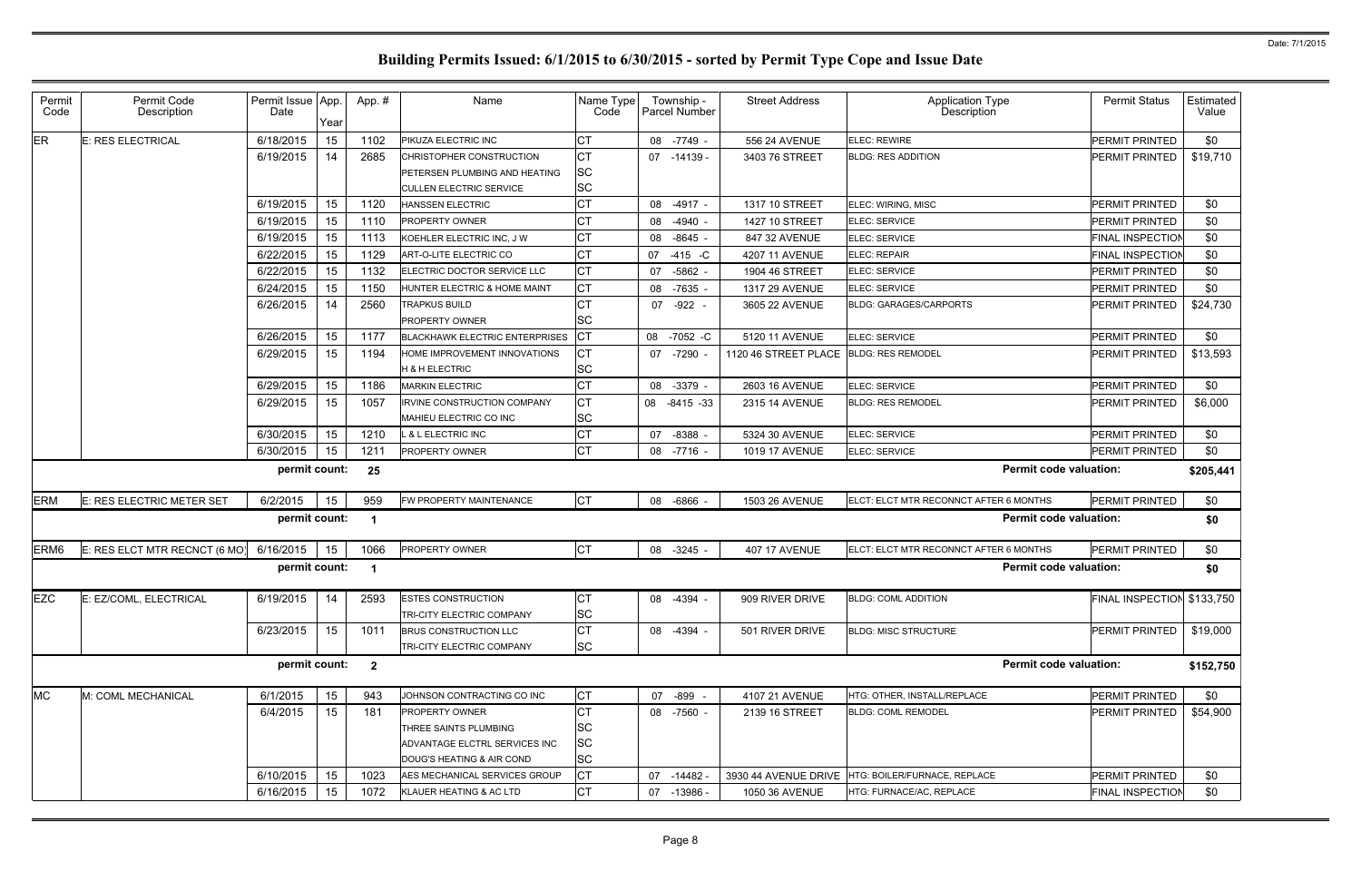| Permit<br>Code   | Permit Code<br>Description    | Permit Issue App.<br>Date | Year | App.#          | Name                                                   | Name Type<br>Code      | Township -<br>Parcel Number | <b>Street Address</b> | <b>Application Type</b><br>Description | <b>Permit Status</b>    | Estimated<br>Value |
|------------------|-------------------------------|---------------------------|------|----------------|--------------------------------------------------------|------------------------|-----------------------------|-----------------------|----------------------------------------|-------------------------|--------------------|
| <b>ER</b>        | E: RES ELECTRICAL             | 6/18/2015                 | 15   | 1102           | PIKUZA ELECTRIC INC                                    | СT                     | 08 -7749 -                  | 556 24 AVENUE         | <b>ELEC: REWIRE</b>                    | <b>PERMIT PRINTED</b>   | \$0                |
|                  |                               | 6/19/2015                 | 14   | 2685           | CHRISTOPHER CONSTRUCTION                               | <b>CT</b>              | 07 -14139 -                 | 3403 76 STREET        | <b>BLDG: RES ADDITION</b>              | PERMIT PRINTED          | \$19,710           |
|                  |                               |                           |      |                | PETERSEN PLUMBING AND HEATING                          | SC                     |                             |                       |                                        |                         |                    |
|                  |                               |                           |      |                | <b>CULLEN ELECTRIC SERVICE</b>                         | <b>SC</b>              |                             |                       |                                        |                         |                    |
|                  |                               | 6/19/2015                 | 15   | 1120           | <b>HANSSEN ELECTRIC</b>                                | <b>CT</b>              | 08<br>$-4917 -$             | 1317 10 STREET        | ELEC: WIRING, MISC                     | <b>PERMIT PRINTED</b>   | \$0                |
|                  |                               | 6/19/2015                 | 15   | 1110           | PROPERTY OWNER                                         | <b>CT</b>              | $-4940 -$<br>08             | 1427 10 STREET        | <b>ELEC: SERVICE</b>                   | <b>PERMIT PRINTED</b>   | \$0                |
|                  |                               | 6/19/2015                 | 15   | 1113           | KOEHLER ELECTRIC INC, J W                              | <b>CT</b>              | $-8645 -$<br>08             | 847 32 AVENUE         | ELEC: SERVICE                          | FINAL INSPECTION        | \$0                |
|                  |                               | 6/22/2015                 | 15   | 1129           | ART-O-LITE ELECTRIC CO                                 | СT                     | $-415 - C$<br>07            | 4207 11 AVENUE        | ELEC: REPAIR                           | FINAL INSPECTION        | \$0                |
|                  |                               | 6/22/2015                 | 15   | 1132           | ELECTRIC DOCTOR SERVICE LLC                            | <b>CT</b>              | $-5862 -$<br>07             | 1904 46 STREET        | ELEC: SERVICE                          | PERMIT PRINTED          | \$0                |
|                  |                               | 6/24/2015                 | 15   | 1150           | HUNTER ELECTRIC & HOME MAINT                           | СT                     | $-7635$<br>08               | 1317 29 AVENUE        | <b>ELEC: SERVICE</b>                   | PERMIT PRINTED          | \$0                |
|                  |                               | 6/26/2015                 | 14   | 2560           | <b>TRAPKUS BUILD</b>                                   | СT                     | 07 - 922 -                  | 3605 22 AVENUE        | <b>BLDG: GARAGES/CARPORTS</b>          | PERMIT PRINTED          | \$24,730           |
|                  |                               |                           |      |                | PROPERTY OWNER                                         | SC                     |                             |                       |                                        |                         |                    |
|                  |                               | 6/26/2015                 | 15   | 1177           | <b>BLACKHAWK ELECTRIC ENTERPRISES</b>                  | <b>CT</b>              | 08 -7052 -C                 | 5120 11 AVENUE        | ELEC: SERVICE                          | <b>PERMIT PRINTED</b>   | \$0                |
|                  |                               | 6/29/2015                 | 15   | 1194           | HOME IMPROVEMENT INNOVATIONS                           | СT                     | -7290 -<br>07               | 1120 46 STREET PLACE  | <b>BLDG: RES REMODEL</b>               | <b>PERMIT PRINTED</b>   | \$13,593           |
|                  |                               |                           |      |                | <b>H &amp; H ELECTRIC</b>                              | <b>SC</b>              |                             |                       |                                        |                         |                    |
|                  |                               | 6/29/2015                 | 15   | 1186           | <b>MARKIN ELECTRIC</b>                                 | <b>CT</b>              | 08<br>$-3379 -$             | 2603 16 AVENUE        | ELEC: SERVICE                          | <b>PERMIT PRINTED</b>   | \$0                |
|                  |                               | 6/29/2015                 | 15   | 1057           | <b>IRVINE CONSTRUCTION COMPANY</b>                     | <b>CT</b>              | 08 -8415 -33                | 2315 14 AVENUE        | <b>BLDG: RES REMODEL</b>               | PERMIT PRINTED          | \$6,000            |
|                  |                               |                           |      |                | MAHIEU ELECTRIC CO INC                                 | <b>SC</b>              |                             |                       |                                        |                         |                    |
|                  |                               | 6/30/2015                 | 15   | 1210           | L & L ELECTRIC INC                                     | <b>CT</b>              | $-8388 -$<br>07             | 5324 30 AVENUE        | ELEC: SERVICE                          | PERMIT PRINTED          | \$0                |
|                  |                               | 6/30/2015                 | 15   | 1211           | PROPERTY OWNER                                         | <b>CT</b>              | $-7716 -$<br>08             | 1019 17 AVENUE        | ELEC: SERVICE                          | <b>PERMIT PRINTED</b>   | \$0                |
|                  |                               | permit count:             |      | 25             |                                                        |                        |                             |                       | <b>Permit code valuation:</b>          |                         | \$205,441          |
| <b>ERM</b>       | E: RES ELECTRIC METER SET     | 6/2/2015                  | 15   | 959            | FW PROPERTY MAINTENANCE                                | <b>CT</b>              | $-6866$<br>08               | 1503 26 AVENUE        | ELCT: ELCT MTR RECONNCT AFTER 6 MONTHS | <b>PERMIT PRINTED</b>   | \$0                |
|                  |                               | permit count:             |      |                |                                                        |                        |                             |                       | <b>Permit code valuation:</b>          |                         | \$0                |
| ERM <sub>6</sub> | E: RES ELCT MTR RECNCT (6 MO) | 6/16/2015                 | 15   | 1066           | PROPERTY OWNER                                         | IСТ                    | 08<br>$-3245 -$             | <b>407 17 AVENUE</b>  | ELCT: ELCT MTR RECONNCT AFTER 6 MONTHS | PERMIT PRINTED          | \$0                |
|                  |                               | permit count:             |      |                |                                                        |                        |                             |                       | <b>Permit code valuation:</b>          |                         | \$0                |
| <b>EZC</b>       | E: EZ/COML, ELECTRICAL        | 6/19/2015                 | 14   | 2593           | <b>ESTES CONSTRUCTION</b><br>TRI-CITY ELECTRIC COMPANY | СT                     | 08 -4394 -                  | 909 RIVER DRIVE       | <b>BLDG: COML ADDITION</b>             | FINAL INSPECTION        | \$133,750          |
|                  |                               | 6/23/2015                 | 15   | 1011           | BRUS CONSTRUCTION LLC                                  | <b>SC</b><br><b>CT</b> | 08 -4394 -                  | 501 RIVER DRIVE       | <b>BLDG: MISC STRUCTURE</b>            | <b>PERMIT PRINTED</b>   | \$19,000           |
|                  |                               |                           |      |                | TRI-CITY ELECTRIC COMPANY                              | <b>SC</b>              |                             |                       |                                        |                         |                    |
|                  |                               | permit count:             |      | $\overline{2}$ |                                                        |                        |                             |                       | <b>Permit code valuation:</b>          |                         | \$152,750          |
| <b>MC</b>        |                               | 6/1/2015                  |      | 943            |                                                        |                        |                             |                       |                                        | PERMIT PRINTED          | \$0                |
|                  | M: COML MECHANICAL            |                           | 15   |                | JOHNSON CONTRACTING CO INC                             | <b>CT</b>              | -899<br>07                  | 4107 21 AVENUE        | HTG: OTHER, INSTALL/REPLACE            |                         |                    |
|                  |                               | 6/4/2015                  | 15   | 181            | PROPERTY OWNER                                         | СT<br><b>SC</b>        | 08 -7560 -                  | 2139 16 STREET        | <b>BLDG: COML REMODEL</b>              | PERMIT PRINTED          | \$54,900           |
|                  |                               |                           |      |                | THREE SAINTS PLUMBING<br>ADVANTAGE ELCTRL SERVICES INC | <b>SC</b>              |                             |                       |                                        |                         |                    |
|                  |                               |                           |      |                | DOUG'S HEATING & AIR COND                              | <b>SC</b>              |                             |                       |                                        |                         |                    |
|                  |                               | 6/10/2015                 | 15   | 1023           | AES MECHANICAL SERVICES GROUP                          | СT                     | -14482 -<br>07              | 3930 44 AVENUE DRIVE  | HTG: BOILER/FURNACE, REPLACE           | PERMIT PRINTED          | \$0                |
|                  |                               | 6/16/2015                 | 15   | 1072           | KLAUER HEATING & AC LTD                                | <b>CT</b>              | 07<br>-13986 -              | 1050 36 AVENUE        | HTG: FURNACE/AC, REPLACE               | <b>FINAL INSPECTION</b> | \$0                |
|                  |                               |                           |      |                |                                                        |                        |                             |                       |                                        |                         |                    |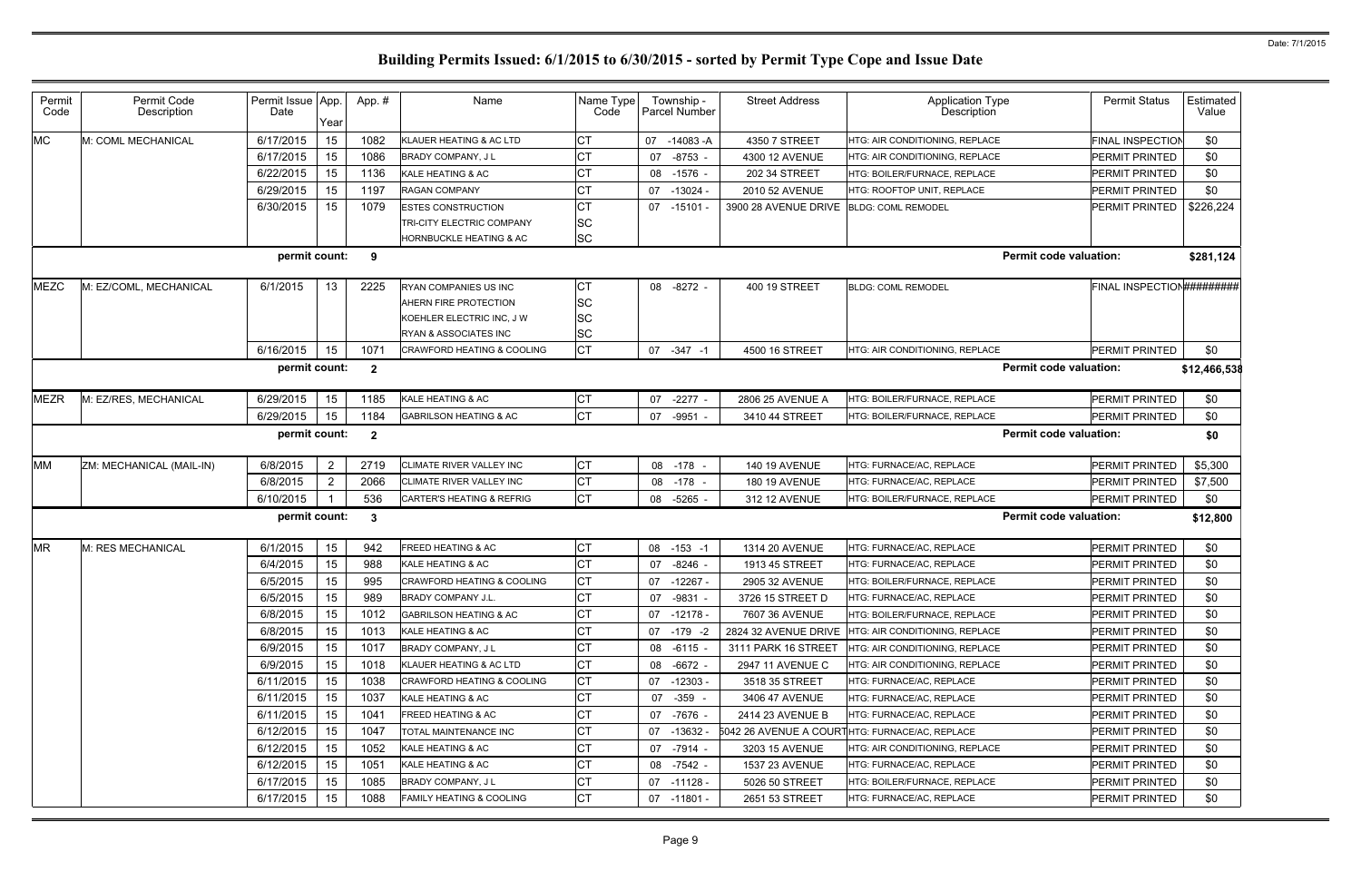| Permit<br>Code | Permit Code<br>Description | Permit Issue App.<br>Date | Year           | App.#        | Name                                  | Name Type<br>Code |    | Township -<br>Parcel Number | <b>Street Address</b>                   | <b>Application Type</b><br>Description              | <b>Permit Status</b>      | Estimated<br>Value |
|----------------|----------------------------|---------------------------|----------------|--------------|---------------------------------------|-------------------|----|-----------------------------|-----------------------------------------|-----------------------------------------------------|---------------------------|--------------------|
| <b>MC</b>      | M: COML MECHANICAL         | 6/17/2015                 | 15             | 1082         | KLAUER HEATING & AC LTD               | СT                | 07 | -14083 -A                   | 4350 7 STREET                           | HTG: AIR CONDITIONING, REPLACE                      | <b>FINAL INSPECTION</b>   | \$0                |
|                |                            | 6/17/2015                 | 15             | 1086         | <b>BRADY COMPANY, JL</b>              | CT                | 07 | $-8753 -$                   | 4300 12 AVENUE                          | HTG: AIR CONDITIONING, REPLACE                      | PERMIT PRINTED            | \$0                |
|                |                            | 6/22/2015                 | 15             | 1136         | KALE HEATING & AC                     | СT                | 08 | $-1576 -$                   | 202 34 STREET                           | HTG: BOILER/FURNACE, REPLACE                        | PERMIT PRINTED            | \$0                |
|                |                            | 6/29/2015                 | 15             | 1197         | <b>RAGAN COMPANY</b>                  | CT                | 07 | $-13024 -$                  | 2010 52 AVENUE                          | HTG: ROOFTOP UNIT, REPLACE                          | PERMIT PRINTED            | \$0                |
|                |                            | 6/30/2015                 | 15             | 1079         | <b>ESTES CONSTRUCTION</b>             | CT                | 07 | -15101 -                    | 3900 28 AVENUE DRIVE BLDG: COML REMODEL |                                                     | PERMIT PRINTED            | \$226,224          |
|                |                            |                           |                |              | <b>TRI-CITY ELECTRIC COMPANY</b>      | <b>SC</b>         |    |                             |                                         |                                                     |                           |                    |
|                |                            |                           |                |              | HORNBUCKLE HEATING & AC               | <b>SC</b>         |    |                             |                                         |                                                     |                           |                    |
|                |                            | permit count:             |                | 9            |                                       |                   |    |                             |                                         | <b>Permit code valuation:</b>                       |                           | \$281,124          |
| <b>MEZC</b>    | M: EZ/COML, MECHANICAL     | 6/1/2015                  | -13            | 2225         | RYAN COMPANIES US INC                 | СT                |    | 08 -8272 -                  | 400 19 STREET                           | <b>BLDG: COML REMODEL</b>                           | FINAL INSPECTION######### |                    |
|                |                            |                           |                |              | AHERN FIRE PROTECTION                 | <b>SC</b>         |    |                             |                                         |                                                     |                           |                    |
|                |                            |                           |                |              | KOEHLER ELECTRIC INC, J W             | <b>SC</b>         |    |                             |                                         |                                                     |                           |                    |
|                |                            |                           |                |              | RYAN & ASSOCIATES INC                 | <b>SC</b>         |    |                             |                                         |                                                     |                           |                    |
|                |                            | 6/16/2015                 | 15             | 1071         | <b>CRAWFORD HEATING &amp; COOLING</b> | <b>CT</b>         |    | 07 -347 -1                  | 4500 16 STREET                          | HTG: AIR CONDITIONING, REPLACE                      | PERMIT PRINTED            | \$0                |
|                |                            | permit count:             |                | $\mathbf{2}$ |                                       |                   |    |                             |                                         | <b>Permit code valuation:</b>                       |                           | \$12,466,538       |
| <b>MEZR</b>    | M: EZ/RES, MECHANICAL      | 6/29/2015                 | 15             | 1185         | KALE HEATING & AC                     | СT                | 07 | $-2277 -$                   | 2806 25 AVENUE A                        | HTG: BOILER/FURNACE, REPLACE                        | PERMIT PRINTED            | \$0                |
|                |                            | 6/29/2015                 | 15             | 1184         | <b>GABRILSON HEATING &amp; AC</b>     | <b>CT</b>         | 07 | -9951 -                     | 3410 44 STREET                          | HTG: BOILER/FURNACE, REPLACE                        | PERMIT PRINTED            | \$0                |
|                | permit count:              |                           |                |              |                                       |                   |    |                             |                                         | <b>Permit code valuation:</b>                       |                           | \$0                |
| <b>MM</b>      | ZM: MECHANICAL (MAIL-IN)   | 6/8/2015                  | $\overline{2}$ | 2719         | CLIMATE RIVER VALLEY INC              | СT                | 08 | -178                        | <b>140 19 AVENUE</b>                    | HTG: FURNACE/AC, REPLACE                            | PERMIT PRINTED            | \$5,300            |
|                |                            | 6/8/2015                  | 2              | 2066         | CLIMATE RIVER VALLEY INC              | CT                | 08 | $-178 -$                    | <b>180 19 AVENUE</b>                    | HTG: FURNACE/AC, REPLACE                            | PERMIT PRINTED            | \$7,500            |
|                |                            | 6/10/2015                 |                | 536          | <b>CARTER'S HEATING &amp; REFRIG</b>  | <b>CT</b>         | 08 | -5265 -                     | 312 12 AVENUE                           | HTG: BOILER/FURNACE, REPLACE                        | PERMIT PRINTED            | \$0                |
|                |                            | permit count:             |                | 3            |                                       |                   |    |                             |                                         | <b>Permit code valuation:</b>                       |                           | \$12,800           |
| <b>MR</b>      | M: RES MECHANICAL          | 6/1/2015                  | 15             | 942          | FREED HEATING & AC                    | <b>CT</b>         | 08 | $-153 - 1$                  | 1314 20 AVENUE                          | HTG: FURNACE/AC, REPLACE                            | PERMIT PRINTED            | \$0                |
|                |                            | 6/4/2015                  | 15             | 988          | KALE HEATING & AC                     | CT                | 07 | $-8246$ -                   | 1913 45 STREET                          | HTG: FURNACE/AC, REPLACE                            | PERMIT PRINTED            | \$0                |
|                |                            | 6/5/2015                  | 15             | 995          | CRAWFORD HEATING & COOLING            | <b>CT</b>         |    | 07 -12267 -                 | 2905 32 AVENUE                          | HTG: BOILER/FURNACE, REPLACE                        | PERMIT PRINTED            | \$0                |
|                |                            | 6/5/2015                  | 15             | 989          | <b>BRADY COMPANY J.L.</b>             | CT                |    | 07 -9831 -                  | 3726 15 STREET D                        | HTG: FURNACE/AC, REPLACE                            | PERMIT PRINTED            | \$0                |
|                |                            | 6/8/2015                  | 15             | 1012         | <b>GABRILSON HEATING &amp; AC</b>     | СT                |    | 07 -12178 -                 | 7607 36 AVENUE                          | HTG: BOILER/FURNACE, REPLACE                        | PERMIT PRINTED            | \$0                |
|                |                            | 6/8/2015                  | 15             | 1013         | KALE HEATING & AC                     | CT                |    | 07 -179 -2                  |                                         | 2824 32 AVENUE DRIVE HTG: AIR CONDITIONING, REPLACE | PERMIT PRINTED            | \$0                |
|                |                            | 6/9/2015                  | 15             | 1017         | BRADY COMPANY, JL                     | СT                |    | 08 -6115 -                  | 3111 PARK 16 STREET                     | HTG: AIR CONDITIONING, REPLACE                      | PERMIT PRINTED            | \$0                |
|                |                            | 6/9/2015                  | 15             | 1018         | KLAUER HEATING & AC LTD               | CT                | 08 | $-6672 -$                   | 2947 11 AVENUE C                        | HTG: AIR CONDITIONING, REPLACE                      | PERMIT PRINTED            | \$0                |
|                |                            | 6/11/2015                 | 15             | 1038         | CRAWFORD HEATING & COOLING            | СT                |    | 07 -12303 -                 | 3518 35 STREET                          | HTG: FURNACE/AC. REPLACE                            | PERMIT PRINTED            | \$0                |
|                |                            | 6/11/2015                 | 15             | 1037         | KALE HEATING & AC                     | CT                | 07 | $-359 -$                    | 3406 47 AVENUE                          | HTG: FURNACE/AC, REPLACE                            | PERMIT PRINTED            | \$0                |
|                |                            | 6/11/2015                 | 15             | 1041         | <b>FREED HEATING &amp; AC</b>         | СT                |    | 07 -7676 -                  | 2414 23 AVENUE B                        | HTG: FURNACE/AC, REPLACE                            | PERMIT PRINTED            | \$0                |
|                |                            | 6/12/2015                 | 15             | 1047         | TOTAL MAINTENANCE INC                 | CT                | 07 | $-13632 -$                  |                                         | 5042 26 AVENUE A COURTHTG: FURNACE/AC, REPLACE      | PERMIT PRINTED            | \$0                |
|                |                            | 6/12/2015                 | 15             | 1052         | KALE HEATING & AC                     | СT                |    | 07 -7914 -                  | 3203 15 AVENUE                          | HTG: AIR CONDITIONING, REPLACE                      | PERMIT PRINTED            | \$0                |
|                |                            | 6/12/2015                 | 15             | 1051         | KALE HEATING & AC                     | CT                | 08 | -7542 -                     | 1537 23 AVENUE                          | HTG: FURNACE/AC, REPLACE                            | <b>PERMIT PRINTED</b>     | \$0                |
|                |                            | 6/17/2015                 | 15             | 1085         | BRADY COMPANY, JL                     | СT                |    | 07 -11128 -                 | 5026 50 STREET                          | HTG: BOILER/FURNACE, REPLACE                        | <b>PERMIT PRINTED</b>     | \$0                |
|                |                            | 6/17/2015                 | 15             | 1088         | <b>FAMILY HEATING &amp; COOLING</b>   | <b>CT</b>         |    | 07 -11801 -                 | 2651 53 STREET                          | HTG: FURNACE/AC, REPLACE                            | PERMIT PRINTED            | \$0                |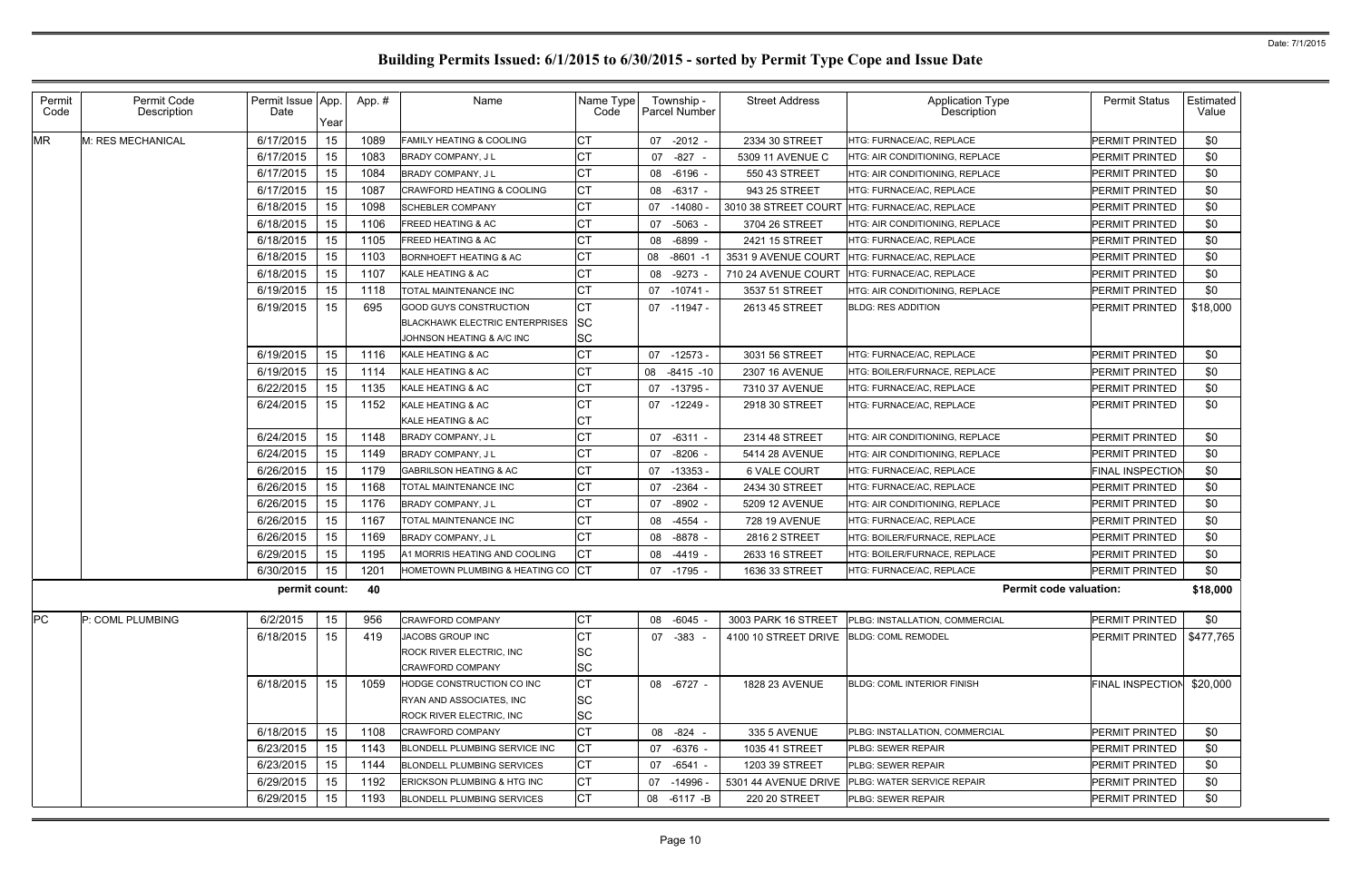| Permit<br>Code | Permit Code<br>Description | Permit Issue App.<br>Date | Year | App.# | Name                                  | Name Type<br>Code |    | Township -<br>Parcel Number | <b>Street Address</b>                   | <b>Application Type</b><br><b>Description</b> | <b>Permit Status</b>    | Estimated<br>Value |
|----------------|----------------------------|---------------------------|------|-------|---------------------------------------|-------------------|----|-----------------------------|-----------------------------------------|-----------------------------------------------|-------------------------|--------------------|
| <b>MR</b>      | M: RES MECHANICAL          | 6/17/2015                 | 15   | 1089  | <b>FAMILY HEATING &amp; COOLING</b>   | СT                | 07 | $-2012 -$                   | 2334 30 STREET                          | HTG: FURNACE/AC, REPLACE                      | <b>PERMIT PRINTED</b>   | \$0                |
|                |                            | 6/17/2015                 | 15   | 1083  | <b>BRADY COMPANY, JL</b>              | CТ                | 07 | -827 -                      | 5309 11 AVENUE C                        | HTG: AIR CONDITIONING, REPLACE                | PERMIT PRINTED          | \$0                |
|                |                            | 6/17/2015                 | 15   | 1084  | <b>BRADY COMPANY, JL</b>              | СT                | 08 | -6196 -                     | 550 43 STREET                           | HTG: AIR CONDITIONING, REPLACE                | <b>PERMIT PRINTED</b>   | \$0                |
|                |                            | 6/17/2015                 | 15   | 1087  | <b>CRAWFORD HEATING &amp; COOLING</b> | СT                | 08 | $-6317 -$                   | 943 25 STREET                           | HTG: FURNACE/AC, REPLACE                      | PERMIT PRINTED          | \$0                |
|                |                            | 6/18/2015                 | 15   | 1098  | <b>SCHEBLER COMPANY</b>               | СT                | 07 | -14080 -                    | 3010 38 STREET COURT                    | HTG: FURNACE/AC, REPLACE                      | PERMIT PRINTED          | \$0                |
|                |                            | 6/18/2015                 | 15   | 1106  | <b>FREED HEATING &amp; AC</b>         | СT                | 07 | -5063 -                     | 3704 26 STREET                          | HTG: AIR CONDITIONING, REPLACE                | PERMIT PRINTED          | \$0                |
|                |                            | 6/18/2015                 | 15   | 1105  | <b>FREED HEATING &amp; AC</b>         | CТ                | 08 | $-6899 -$                   | 2421 15 STREET                          | HTG: FURNACE/AC, REPLACE                      | <b>PERMIT PRINTED</b>   | \$0                |
|                |                            | 6/18/2015                 | 15   | 1103  | <b>BORNHOEFT HEATING &amp; AC</b>     | СT                | 08 | -8601 -1                    | 3531 9 AVENUE COURT                     | HTG: FURNACE/AC, REPLACE                      | PERMIT PRINTED          | \$0                |
|                |                            | 6/18/2015                 | 15   | 1107  | KALE HEATING & AC                     | СT                | 08 | $-9273$                     | 710 24 AVENUE COURT                     | HTG: FURNACE/AC, REPLACE                      | <b>PERMIT PRINTED</b>   | \$0                |
|                |                            | 6/19/2015                 | 15   | 1118  | TOTAL MAINTENANCE INC                 | СT                | 07 | -10741 -                    | 3537 51 STREET                          | HTG: AIR CONDITIONING, REPLACE                | <b>PERMIT PRINTED</b>   | \$0                |
|                |                            | 6/19/2015                 | 15   | 695   | <b>GOOD GUYS CONSTRUCTION</b>         | <b>CT</b>         |    | 07 -11947 -                 | 2613 45 STREET                          | <b>BLDG: RES ADDITION</b>                     | PERMIT PRINTED          | \$18,000           |
|                |                            |                           |      |       | <b>BLACKHAWK ELECTRIC ENTERPRISES</b> | <b>SC</b>         |    |                             |                                         |                                               |                         |                    |
|                |                            |                           |      |       | JOHNSON HEATING & A/C INC             | SC                |    |                             |                                         |                                               |                         |                    |
|                |                            | 6/19/2015                 | 15   | 1116  | KALE HEATING & AC                     | СT                | 07 | $-12573 -$                  | 3031 56 STREET                          | HTG: FURNACE/AC, REPLACE                      | <b>PERMIT PRINTED</b>   | \$0                |
|                |                            | 6/19/2015                 | 15   | 1114  | KALE HEATING & AC                     | СT                |    | 08 -8415 -10                | <b>2307 16 AVENUE</b>                   | HTG: BOILER/FURNACE, REPLACE                  | <b>PERMIT PRINTED</b>   | \$0                |
|                |                            | 6/22/2015                 | 15   | 1135  | KALE HEATING & AC                     | СT                | 07 | -13795 -                    | 7310 37 AVENUE                          | HTG: FURNACE/AC, REPLACE                      | <b>PERMIT PRINTED</b>   | \$0                |
|                |                            | 6/24/2015                 | 15   | 1152  | KALE HEATING & AC                     | СT                |    | 07 -12249 -                 | 2918 30 STREET                          | HTG: FURNACE/AC, REPLACE                      | <b>PERMIT PRINTED</b>   | \$0                |
|                |                            |                           |      |       | KALE HEATING & AC                     | СТ                |    |                             |                                         |                                               |                         |                    |
|                |                            | 6/24/2015                 | 15   | 1148  | BRADY COMPANY, J L                    | CТ                | 07 | -6311 -                     | 2314 48 STREET                          | HTG: AIR CONDITIONING, REPLACE                | PERMIT PRINTED          | \$0                |
|                |                            | 6/24/2015                 | 15   | 1149  | <b>BRADY COMPANY, JL</b>              | CТ                | 07 | $-8206 -$                   | 5414 28 AVENUE                          | HTG: AIR CONDITIONING, REPLACE                | <b>PERMIT PRINTED</b>   | \$0                |
|                |                            | 6/26/2015                 | 15   | 1179  | <b>GABRILSON HEATING &amp; AC</b>     | CТ                | 07 | -13353 -                    | 6 VALE COURT                            | HTG: FURNACE/AC, REPLACE                      | FINAL INSPECTION        | \$0                |
|                |                            | 6/26/2015                 | 15   | 1168  | TOTAL MAINTENANCE INC                 | CТ                | 07 | $-2364 -$                   | 2434 30 STREET                          | HTG: FURNACE/AC, REPLACE                      | <b>PERMIT PRINTED</b>   | \$0                |
|                |                            | 6/26/2015                 | 15   | 1176  | <b>BRADY COMPANY, JL</b>              | СT                | 07 | $-8902 -$                   | 5209 12 AVENUE                          | HTG: AIR CONDITIONING, REPLACE                | PERMIT PRINTED          | \$0                |
|                |                            | 6/26/2015                 | 15   | 1167  | TOTAL MAINTENANCE INC                 | CТ                | 08 | $-4554 -$                   | <b>728 19 AVENUE</b>                    | HTG: FURNACE/AC, REPLACE                      | <b>PERMIT PRINTED</b>   | \$0                |
|                |                            | 6/26/2015                 | 15   | 1169  | BRADY COMPANY, J L                    | СT                | 08 | -8878 -                     | 2816 2 STREET                           | HTG: BOILER/FURNACE, REPLACE                  | PERMIT PRINTED          | \$0                |
|                |                            | 6/29/2015                 | 15   | 1195  | A1 MORRIS HEATING AND COOLING         | СT                | 08 | $-4419 -$                   | 2633 16 STREET                          | HTG: BOILER/FURNACE, REPLACE                  | <b>PERMIT PRINTED</b>   | \$0                |
|                |                            | 6/30/2015                 | 15   | 1201  | HOMETOWN PLUMBING & HEATING CO CT     |                   |    | 07 -1795 -                  | 1636 33 STREET                          | HTG: FURNACE/AC, REPLACE                      | PERMIT PRINTED          | \$0                |
|                |                            | permit count: 40          |      |       |                                       |                   |    |                             |                                         | <b>Permit code valuation:</b>                 |                         | \$18,000           |
| PC             | P: COML PLUMBING           | 6/2/2015                  | 15   | 956   | <b>CRAWFORD COMPANY</b>               | СT                |    | 08 -6045 -                  | 3003 PARK 16 STREET                     | PLBG: INSTALLATION, COMMERCIAL                | PERMIT PRINTED          | \$0                |
|                |                            | 6/18/2015                 | 15   | 419   | JACOBS GROUP INC                      | CТ                |    | 07 - 383 -                  | 4100 10 STREET DRIVE BLDG: COML REMODEL |                                               | PERMIT PRINTED          | \$477,765          |
|                |                            |                           |      |       | <b>ROCK RIVER ELECTRIC, INC</b>       | SC                |    |                             |                                         |                                               |                         |                    |
|                |                            |                           |      |       | <b>CRAWFORD COMPANY</b>               | SC                |    |                             |                                         |                                               |                         |                    |
|                |                            | 6/18/2015                 | 15   | 1059  | HODGE CONSTRUCTION CO INC             | СT                |    | 08 -6727 -                  | 1828 23 AVENUE                          | <b>BLDG: COML INTERIOR FINISH</b>             | <b>FINAL INSPECTION</b> | \$20,000           |
|                |                            |                           |      |       | RYAN AND ASSOCIATES, INC              | <b>SC</b>         |    |                             |                                         |                                               |                         |                    |
|                |                            |                           |      |       | ROCK RIVER ELECTRIC, INC              | SC                |    |                             |                                         |                                               |                         |                    |
|                |                            | 6/18/2015                 | 15   | 1108  | <b>CRAWFORD COMPANY</b>               | СT                |    | 08 - 824 -                  | 335 5 AVENUE                            | PLBG: INSTALLATION, COMMERCIAL                | <b>PERMIT PRINTED</b>   | \$0                |
|                |                            | 6/23/2015                 | 15   | 1143  | BLONDELL PLUMBING SERVICE INC         | СT                | 07 | -6376 -                     | 1035 41 STREET                          | <b>PLBG: SEWER REPAIR</b>                     | <b>PERMIT PRINTED</b>   | \$0                |
|                |                            | 6/23/2015                 | 15   | 1144  | <b>BLONDELL PLUMBING SERVICES</b>     | СT                |    | 07 -6541 -                  | 1203 39 STREET                          | <b>PLBG: SEWER REPAIR</b>                     | PERMIT PRINTED          | \$0                |
|                |                            | 6/29/2015                 | 15   | 1192  | ERICKSON PLUMBING & HTG INC           | СT                | 07 | -14996 -                    | 5301 44 AVENUE DRIVE                    | <b>PLBG: WATER SERVICE REPAIR</b>             | <b>PERMIT PRINTED</b>   | \$0                |
|                |                            | 6/29/2015                 | 15   | 1193  | <b>BLONDELL PLUMBING SERVICES</b>     | <b>CT</b>         |    | 08 -6117 -B                 | 220 20 STREET                           | PLBG: SEWER REPAIR                            | <b>PERMIT PRINTED</b>   | \$0                |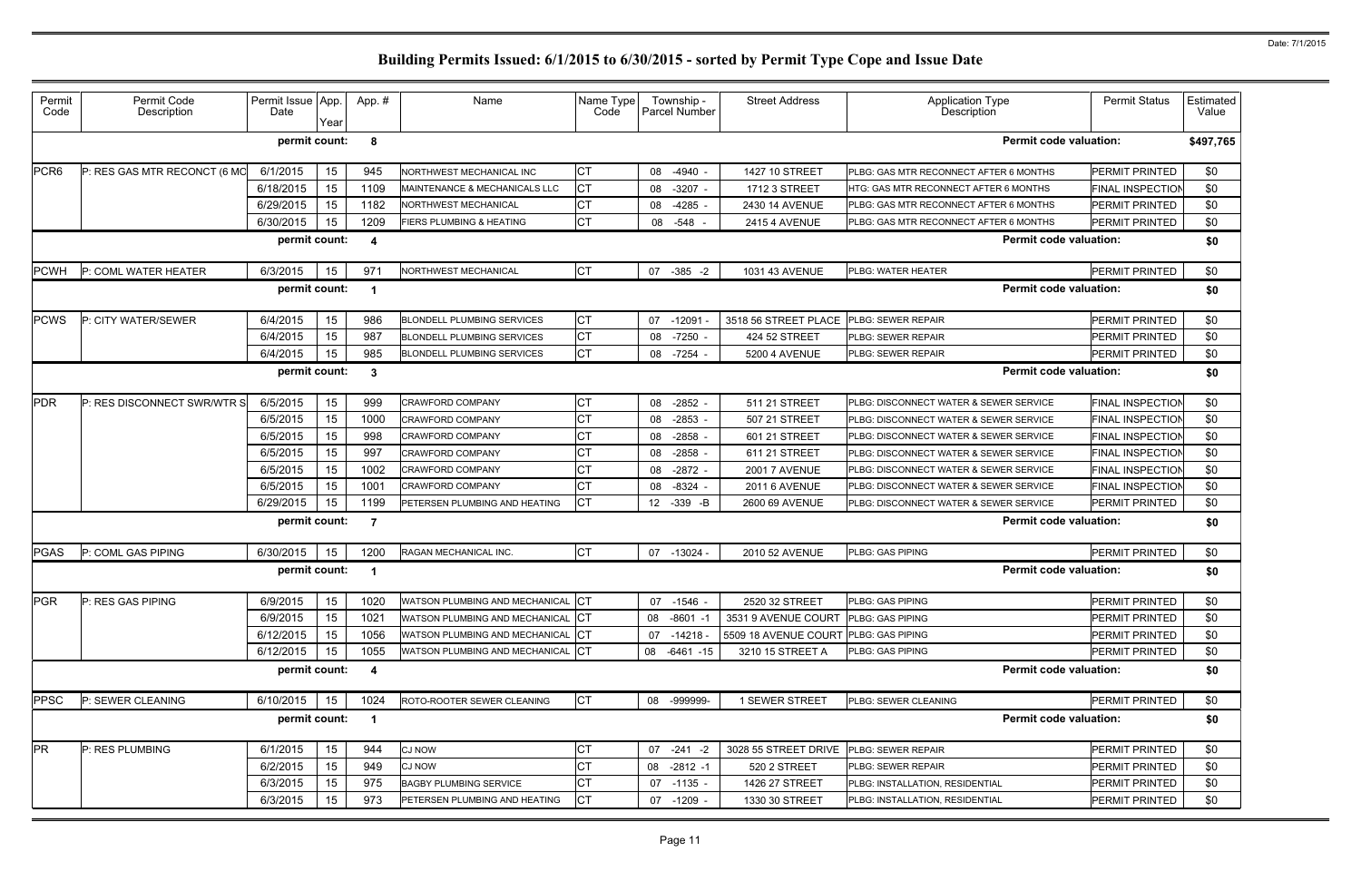| Permit<br>Code   | Permit Code<br>Description   | Permit Issue<br>Date | App.<br>Year | App.# | Name                                     | Name Type<br>Code | Township -<br>Parcel Number |              | <b>Street Address</b> | <b>Application Type</b><br>Description | <b>Permit Status</b>    | Estimated<br>Value |
|------------------|------------------------------|----------------------|--------------|-------|------------------------------------------|-------------------|-----------------------------|--------------|-----------------------|----------------------------------------|-------------------------|--------------------|
|                  |                              | permit count:        |              | 8     |                                          |                   |                             |              |                       | <b>Permit code valuation:</b>          |                         | \$497,765          |
| PCR <sub>6</sub> | P: RES GAS MTR RECONCT (6 MO | 6/1/2015             | 15           | 945   | NORTHWEST MECHANICAL INC                 | <b>CT</b>         | 08<br>$-4940$ -             |              | 1427 10 STREET        | PLBG: GAS MTR RECONNECT AFTER 6 MONTHS | <b>PERMIT PRINTED</b>   | \$0                |
|                  |                              | 6/18/2015            | 15           | 1109  | <b>MAINTENANCE &amp; MECHANICALS LLC</b> | <b>CT</b>         | $-3207 -$<br>08             |              | 1712 3 STREET         | HTG: GAS MTR RECONNECT AFTER 6 MONTHS  | <b>FINAL INSPECTION</b> | \$0                |
|                  |                              | 6/29/2015            | 15           | 1182  | <b>NORTHWEST MECHANICAL</b>              | <b>CT</b>         | $-4285$<br>08               |              | 2430 14 AVENUE        | PLBG: GAS MTR RECONNECT AFTER 6 MONTHS | PERMIT PRINTED          | \$0                |
|                  |                              | 6/30/2015            | 15           | 1209  | <b>FIERS PLUMBING &amp; HEATING</b>      | <b>CT</b>         | 08<br>-548                  |              | <b>2415 4 AVENUE</b>  | PLBG: GAS MTR RECONNECT AFTER 6 MONTHS | PERMIT PRINTED          | \$0                |
|                  |                              | permit count:        |              | 4     |                                          |                   |                             |              |                       | <b>Permit code valuation:</b>          |                         | \$0                |
| <b>PCWH</b>      | P: COML WATER HEATER         | 6/3/2015             | 15           | 971   | NORTHWEST MECHANICAL                     | <b>CT</b>         | 07                          | $-385 -2$    | 1031 43 AVENUE        | PLBG: WATER HEATER                     | <b>PERMIT PRINTED</b>   | \$0                |
|                  |                              | permit count:        |              |       |                                          |                   |                             |              |                       | <b>Permit code valuation:</b>          |                         | \$0                |
| <b>PCWS</b>      | P: CITY WATER/SEWER          | 6/4/2015             | 15           | 986   | <b>BLONDELL PLUMBING SERVICES</b>        | <b>CT</b>         | 07<br>$-12091$              |              | 3518 56 STREET PLACE  | PLBG: SEWER REPAIR                     | PERMIT PRINTED          | \$0                |
|                  |                              | 6/4/2015             | 15           | 987   | <b>BLONDELL PLUMBING SERVICES</b>        | <b>CT</b>         | $-7250$ -<br>08             |              | 424 52 STREET         | PLBG: SEWER REPAIR                     | PERMIT PRINTED          | \$0                |
|                  |                              | 6/4/2015             | 15           | 985   | <b>BLONDELL PLUMBING SERVICES</b>        | <b>CT</b>         | 08<br>$-7254$               |              | 5200 4 AVENUE         | <b>PLBG: SEWER REPAIR</b>              | PERMIT PRINTED          | \$0                |
|                  |                              | permit count:        |              | 3     |                                          |                   |                             |              |                       | <b>Permit code valuation:</b>          |                         | \$0                |
| <b>PDR</b>       | P: RES DISCONNECT SWR/WTR S  | 6/5/2015             | 15           | 999   | <b>CRAWFORD COMPANY</b>                  | <b>CT</b>         | $-2852$ -<br>08             |              | 511 21 STREET         | PLBG: DISCONNECT WATER & SEWER SERVICE | <b>FINAL INSPECTION</b> | \$0                |
|                  |                              | 6/5/2015             | 15           | 1000  | <b>CRAWFORD COMPANY</b>                  | <b>CT</b>         | $-2853$<br>08               |              | 507 21 STREET         | PLBG: DISCONNECT WATER & SEWER SERVICE | <b>FINAL INSPECTION</b> | \$0                |
|                  |                              | 6/5/2015             | 15           | 998   | <b>CRAWFORD COMPANY</b>                  | СT                | $-2858$<br>08               |              | 601 21 STREET         | PLBG: DISCONNECT WATER & SEWER SERVICE | <b>FINAL INSPECTION</b> | \$0                |
|                  |                              | 6/5/2015             | 15           | 997   | <b>CRAWFORD COMPANY</b>                  | СT                | $-2858$<br>08               |              | 611 21 STREET         | PLBG: DISCONNECT WATER & SEWER SERVICE | <b>FINAL INSPECTION</b> | \$0                |
|                  |                              | 6/5/2015             | 15           | 1002  | <b>CRAWFORD COMPANY</b>                  | СT                | $-2872$<br>08               |              | <b>2001 7 AVENUE</b>  | PLBG: DISCONNECT WATER & SEWER SERVICE | <b>FINAL INSPECTION</b> | \$0                |
|                  |                              | 6/5/2015             | 15           | 1001  | <b>CRAWFORD COMPANY</b>                  | <b>CT</b>         | $-8324$<br>08               |              | <b>2011 6 AVENUE</b>  | PLBG: DISCONNECT WATER & SEWER SERVICE | <b>FINAL INSPECTION</b> | \$0                |
|                  |                              | 6/29/2015            | 15           | 1199  | PETERSEN PLUMBING AND HEATING            | <b>CT</b>         | 12 -339 -B                  |              | 2600 69 AVENUE        | PLBG: DISCONNECT WATER & SEWER SERVICE | <b>PERMIT PRINTED</b>   | \$0                |
|                  |                              | permit count:        |              | 7     |                                          |                   |                             |              |                       | <b>Permit code valuation:</b>          |                         | \$0                |
| <b>PGAS</b>      | P: COML GAS PIPING           | 6/30/2015            | 15           | 1200  | RAGAN MECHANICAL INC.                    | <b>CT</b>         | 07<br>$-13024 -$            |              | 2010 52 AVENUE        | <b>PLBG: GAS PIPING</b>                | PERMIT PRINTED          | \$0                |
|                  |                              | permit count:        |              |       |                                          |                   |                             |              |                       | <b>Permit code valuation:</b>          |                         | \$0                |
| PGR              | P: RES GAS PIPING            | 6/9/2015             | 15           | 1020  | WATSON PLUMBING AND MECHANICAL CT        |                   | 07<br>$-1546 -$             |              | 2520 32 STREET        | <b>PLBG: GAS PIPING</b>                | PERMIT PRINTED          | \$0                |
|                  |                              | 6/9/2015             | 15           | 1021  | WATSON PLUMBING AND MECHANICAL           | <b>ICT</b>        | 08                          | $-8601 - 1$  | 3531 9 AVENUE COURT   | <b>PLBG: GAS PIPING</b>                | PERMIT PRINTED          | \$0                |
|                  |                              | 6/12/2015            | 15           | 1056  | WATSON PLUMBING AND MECHANICAL CT        |                   | $-14218 -$<br>07            |              | 5509 18 AVENUE COURT  | <b>PLBG: GAS PIPING</b>                | PERMIT PRINTED          | \$0                |
|                  |                              | 6/12/2015            | 15           | 1055  | WATSON PLUMBING AND MECHANICAL           | <b>ICT</b>        | 08                          | $-6461 - 15$ | 3210 15 STREET A      | <b>PLBG: GAS PIPING</b>                | <b>PERMIT PRINTED</b>   | \$0                |
|                  |                              | permit count:        |              | 4     |                                          |                   |                             |              |                       | <b>Permit code valuation:</b>          |                         | \$0                |
| <b>PPSC</b>      | P: SEWER CLEANING            | 6/10/2015            | 15           | 1024  | ROTO-ROOTER SEWER CLEANING               | <b>CT</b>         | 08 -999999-                 |              | 1 SEWER STREET        | PLBG: SEWER CLEANING                   | PERMIT PRINTED          | \$0                |
|                  |                              | permit count:        |              | -1    |                                          |                   |                             |              |                       | <b>Permit code valuation:</b>          |                         | \$0                |
| <b>PR</b>        | P: RES PLUMBING              | 6/1/2015             | 15           | 944   | <b>CJ NOW</b>                            | СT                | 07<br>$-241 - 2$            |              | 3028 55 STREET DRIVE  | PLBG: SEWER REPAIR                     | <b>PERMIT PRINTED</b>   | \$0                |
|                  |                              | 6/2/2015             | 15           | 949   | <b>CJ NOW</b>                            | <b>CT</b>         | 08 -2812 -1                 |              | 520 2 STREET          | <b>PLBG: SEWER REPAIR</b>              | PERMIT PRINTED          | \$0                |
|                  |                              | 6/3/2015             | 15           | 975   | <b>BAGBY PLUMBING SERVICE</b>            | СT                | $-1135 -$<br>07             |              | 1426 27 STREET        | PLBG: INSTALLATION, RESIDENTIAL        | <b>PERMIT PRINTED</b>   | \$0                |
|                  |                              | 6/3/2015             | 15           | 973   | PETERSEN PLUMBING AND HEATING            | СT                | 07<br>$-1209 -$             |              | 1330 30 STREET        | PLBG: INSTALLATION, RESIDENTIAL        | PERMIT PRINTED          | \$0                |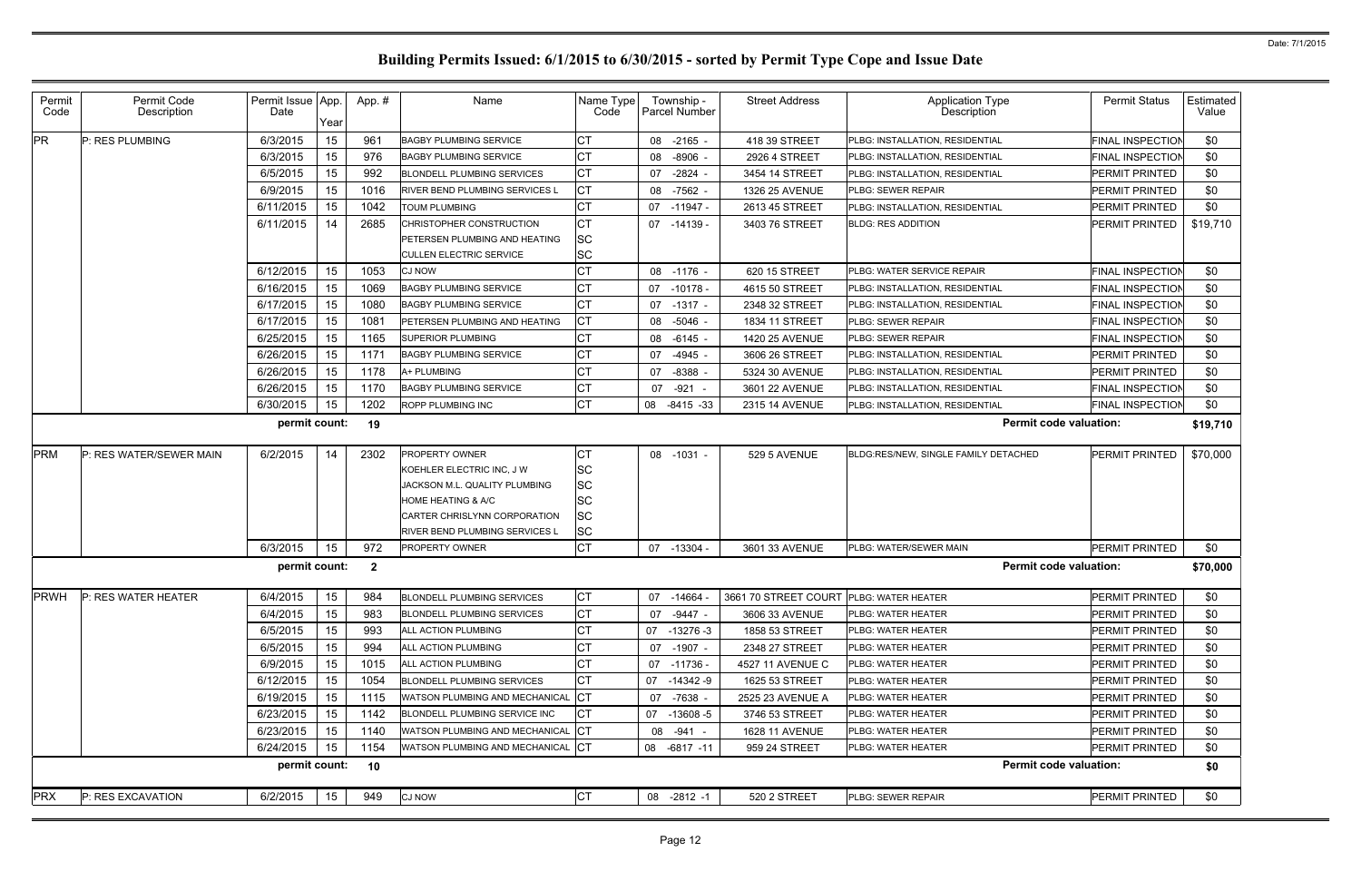| Permit<br>Code | Permit Code<br>Description | Permit Issue App.<br>Date | Year | App.#          | Name                                  | Name Type<br>Code | Township -<br><b>Parcel Number</b> | <b>Street Address</b> | <b>Application Type</b><br><b>Description</b> | <b>Permit Status</b>    | Estimated<br>Value |
|----------------|----------------------------|---------------------------|------|----------------|---------------------------------------|-------------------|------------------------------------|-----------------------|-----------------------------------------------|-------------------------|--------------------|
| <b>PR</b>      | P: RES PLUMBING            | 6/3/2015                  | 15   | 961            | <b>BAGBY PLUMBING SERVICE</b>         | СT                | 08 -2165 -                         | 418 39 STREET         | PLBG: INSTALLATION, RESIDENTIAL               | FINAL INSPECTION        | \$0                |
|                |                            | 6/3/2015                  | 15   | 976            | <b>BAGBY PLUMBING SERVICE</b>         | СT                | $-8906 -$<br>08                    | 2926 4 STREET         | PLBG: INSTALLATION, RESIDENTIAL               | <b>FINAL INSPECTION</b> | \$0                |
|                |                            | 6/5/2015                  | 15   | 992            | <b>BLONDELL PLUMBING SERVICES</b>     | СT                | $-2824 -$<br>07                    | 3454 14 STREET        | PLBG: INSTALLATION, RESIDENTIAL               | PERMIT PRINTED          | \$0                |
|                |                            | 6/9/2015                  | 15   | 1016           | <b>RIVER BEND PLUMBING SERVICES L</b> | СT                | 08 -7562 -                         | 1326 25 AVENUE        | PLBG: SEWER REPAIR                            | PERMIT PRINTED          | \$0                |
|                |                            | 6/11/2015                 | 15   | 1042           | <b>TOUM PLUMBING</b>                  | <b>CT</b>         | 07<br>-11947 -                     | 2613 45 STREET        | PLBG: INSTALLATION, RESIDENTIAL               | PERMIT PRINTED          | \$0                |
|                |                            | 6/11/2015                 | 14   | 2685           | CHRISTOPHER CONSTRUCTION              | СT                | 07 -14139 -                        | 3403 76 STREET        | <b>BLDG: RES ADDITION</b>                     | <b>PERMIT PRINTED</b>   | \$19,710           |
|                |                            |                           |      |                | PETERSEN PLUMBING AND HEATING         | <b>SC</b>         |                                    |                       |                                               |                         |                    |
|                |                            |                           |      |                | <b>CULLEN ELECTRIC SERVICE</b>        | <b>SC</b>         |                                    |                       |                                               |                         |                    |
|                |                            | 6/12/2015                 | 15   | 1053           | <b>CJ NOW</b>                         | СT                | 08 -1176 -                         | 620 15 STREET         | PLBG: WATER SERVICE REPAIR                    | <b>FINAL INSPECTION</b> | \$0                |
|                |                            | 6/16/2015                 | 15   | 1069           | <b>BAGBY PLUMBING SERVICE</b>         | СT                | 07<br>-10178 -                     | 4615 50 STREET        | PLBG: INSTALLATION, RESIDENTIAL               | FINAL INSPECTION        | \$0                |
|                |                            | 6/17/2015                 | 15   | 1080           | <b>BAGBY PLUMBING SERVICE</b>         | СT                | $-1317 -$<br>07                    | 2348 32 STREET        | PLBG: INSTALLATION, RESIDENTIAL               | <b>FINAL INSPECTION</b> | \$0                |
|                |                            | 6/17/2015                 | 15   | 1081           | PETERSEN PLUMBING AND HEATING         | <b>CT</b>         | 08 -5046 -                         | 1834 11 STREET        | PLBG: SEWER REPAIR                            | FINAL INSPECTION        | \$0                |
|                |                            | 6/25/2015                 | 15   | 1165           | <b>SUPERIOR PLUMBING</b>              | СT                | $-6145 -$<br>08                    | 1420 25 AVENUE        | PLBG: SEWER REPAIR                            | <b>FINAL INSPECTION</b> | \$0                |
|                |                            | 6/26/2015                 | 15   | 1171           | <b>BAGBY PLUMBING SERVICE</b>         | СT                | 07<br>$-4945 -$                    | 3606 26 STREET        | PLBG: INSTALLATION, RESIDENTIAL               | PERMIT PRINTED          | \$0                |
|                |                            | 6/26/2015                 | 15   | 1178           | A+ PLUMBING                           | СT                | $-8388 -$<br>07                    | 5324 30 AVENUE        | PLBG: INSTALLATION, RESIDENTIAL               | PERMIT PRINTED          | \$0                |
|                |                            | 6/26/2015                 | 15   | 1170           | <b>BAGBY PLUMBING SERVICE</b>         | СT                | $-921$<br>07                       | 3601 22 AVENUE        | PLBG: INSTALLATION, RESIDENTIAL               | FINAL INSPECTION        | \$0                |
|                |                            | 6/30/2015                 | 15   | 1202           | ROPP PLUMBING INC                     | СT                | 08<br>-8415 -33                    | 2315 14 AVENUE        | PLBG: INSTALLATION, RESIDENTIAL               | <b>FINAL INSPECTION</b> | \$0                |
|                |                            | permit count:             |      | 19             |                                       |                   |                                    |                       | <b>Permit code valuation:</b>                 |                         | \$19,710           |
| <b>PRM</b>     | P: RES WATER/SEWER MAIN    | 6/2/2015                  | 14   | 2302           | <b>PROPERTY OWNER</b>                 | СT                | 08 -1031 -                         | 529 5 AVENUE          | BLDG:RES/NEW, SINGLE FAMILY DETACHED          | PERMIT PRINTED          | \$70,000           |
|                |                            |                           |      |                | KOEHLER ELECTRIC INC. J W             | <b>SC</b>         |                                    |                       |                                               |                         |                    |
|                |                            |                           |      |                | JACKSON M.L. QUALITY PLUMBING         | <b>SC</b>         |                                    |                       |                                               |                         |                    |
|                |                            |                           |      |                | <b>HOME HEATING &amp; A/C</b>         | <b>SC</b>         |                                    |                       |                                               |                         |                    |
|                |                            |                           |      |                | CARTER CHRISLYNN CORPORATION          | SC                |                                    |                       |                                               |                         |                    |
|                |                            |                           |      |                | <b>RIVER BEND PLUMBING SERVICES L</b> | <b>SC</b>         |                                    |                       |                                               |                         |                    |
|                |                            | 6/3/2015                  | 15   | 972            | <b>PROPERTY OWNER</b>                 | CT                | 07 -13304 -                        | 3601 33 AVENUE        | PLBG: WATER/SEWER MAIN                        | PERMIT PRINTED          | \$0                |
|                |                            | permit count:             |      | $\overline{2}$ |                                       |                   |                                    |                       | <b>Permit code valuation:</b>                 |                         | \$70,000           |
| <b>PRWH</b>    | P: RES WATER HEATER        | 6/4/2015                  | 15   | 984            | <b>BLONDELL PLUMBING SERVICES</b>     | СT                | 07 -14664                          | 3661 70 STREET COURT  | <b>PLBG: WATER HEATER</b>                     | PERMIT PRINTED          | \$0                |
|                |                            | 6/4/2015                  | 15   | 983            | <b>BLONDELL PLUMBING SERVICES</b>     | СT                | 07 -9447 -                         | 3606 33 AVENUE        | PLBG: WATER HEATER                            | PERMIT PRINTED          | \$0                |
|                |                            | 6/5/2015                  | 15   | 993            | <b>ALL ACTION PLUMBING</b>            | СT                | 07 -13276 -3                       | 1858 53 STREET        | PLBG: WATER HEATER                            | PERMIT PRINTED          | \$0                |
|                |                            | 6/5/2015                  | 15   | 994            | ALL ACTION PLUMBING                   | СT                | 07 -1907 -                         | 2348 27 STREET        | PLBG: WATER HEATER                            | PERMIT PRINTED          | \$0                |
|                |                            | 6/9/2015                  | 15   | 1015           | ALL ACTION PLUMBING                   | CТ                | 07 -11736 -                        | 4527 11 AVENUE C      | PLBG: WATER HEATER                            | PERMIT PRINTED          | \$0                |
|                |                            | 6/12/2015                 | 15   | 1054           | <b>BLONDELL PLUMBING SERVICES</b>     | СT                | 07 -14342 -9                       | 1625 53 STREET        | PLBG: WATER HEATER                            | PERMIT PRINTED          | \$0                |
|                |                            | 6/19/2015                 | 15   | 1115           | WATSON PLUMBING AND MECHANICAL        | IСТ               | 07 -7638 -                         | 2525 23 AVENUE A      | PLBG: WATER HEATER                            | PERMIT PRINTED          | \$0                |
|                |                            | 6/23/2015                 | 15   | 1142           | BLONDELL PLUMBING SERVICE INC         | СT                | 07 -13608 -5                       | 3746 53 STREET        | PLBG: WATER HEATER                            | PERMIT PRINTED          | \$0                |
|                |                            | 6/23/2015                 | 15   | 1140           | WATSON PLUMBING AND MECHANICAL        | СT                | 08 - 941 -                         | 1628 11 AVENUE        | PLBG: WATER HEATER                            | PERMIT PRINTED          | \$0                |
|                |                            | 6/24/2015                 | 15   | 1154           | WATSON PLUMBING AND MECHANICAL        | CT                | 08 -6817 -11                       | 959 24 STREET         | PLBG: WATER HEATER                            | PERMIT PRINTED          | \$0                |
|                |                            | permit count:             |      | 10             |                                       |                   |                                    |                       | <b>Permit code valuation:</b>                 |                         | \$0                |
| <b>PRX</b>     | P: RES EXCAVATION          | 6/2/2015                  | 15   | 949            | <b>CJ NOW</b>                         | СT                | 08 -2812 -1                        | 520 2 STREET          | PLBG: SEWER REPAIR                            | PERMIT PRINTED          | \$0                |
|                |                            |                           |      |                |                                       |                   |                                    |                       |                                               |                         |                    |